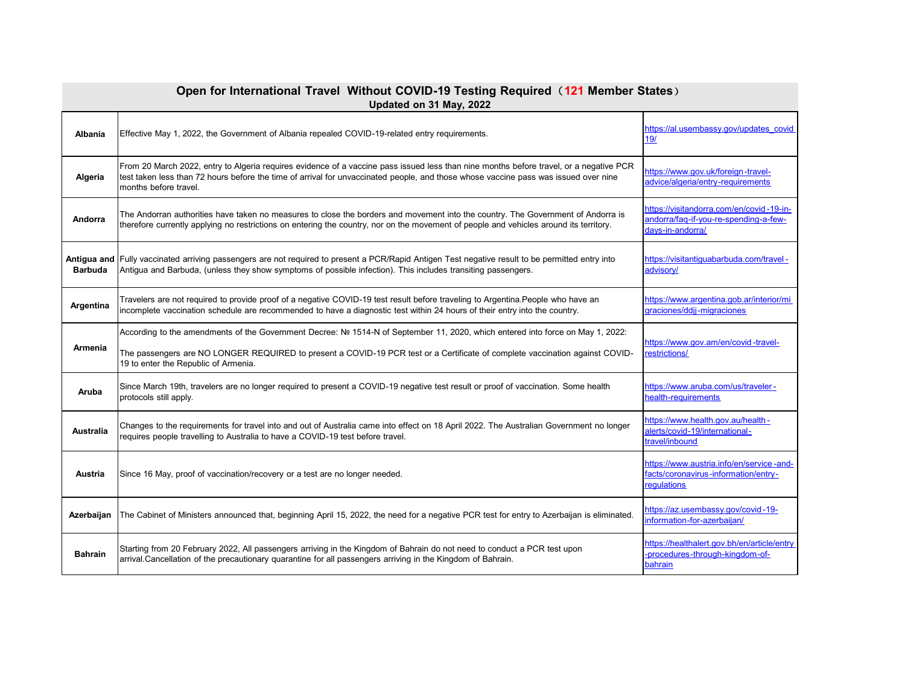| Open for International Travel Without COVID-19 Testing Required (121 Member States)<br>Updated on 31 May, 2022 |                                                                                                                                                                                                                                                                                                        |                                                                                                        |
|----------------------------------------------------------------------------------------------------------------|--------------------------------------------------------------------------------------------------------------------------------------------------------------------------------------------------------------------------------------------------------------------------------------------------------|--------------------------------------------------------------------------------------------------------|
| Albania                                                                                                        | Effective May 1, 2022, the Government of Albania repealed COVID-19-related entry requirements.                                                                                                                                                                                                         | https://al.usembassy.gov/updates_covid<br>19/                                                          |
| Algeria                                                                                                        | From 20 March 2022, entry to Algeria requires evidence of a vaccine pass issued less than nine months before travel, or a negative PCR<br>test taken less than 72 hours before the time of arrival for unvaccinated people, and those whose vaccine pass was issued over nine<br>months before travel. | https://www.gov.uk/foreign-travel-<br>advice/algeria/entry-reguirements                                |
| Andorra                                                                                                        | The Andorran authorities have taken no measures to close the borders and movement into the country. The Government of Andorra is<br>therefore currently applying no restrictions on entering the country, nor on the movement of people and vehicles around its territory.                             | -ttps://visitandorra.com/en/covid-19-in-<br>andorra/faq-if-you-re-spending-a-few-<br>days-in-andorra/  |
| <b>Barbuda</b>                                                                                                 | Antigua and Fully vaccinated arriving passengers are not required to present a PCR/Rapid Antigen Test negative result to be permitted entry into<br>Antigua and Barbuda, (unless they show symptoms of possible infection). This includes transiting passengers.                                       | https://visitantiquabarbuda.com/travel-<br>advisory/                                                   |
| Argentina                                                                                                      | Travelers are not required to provide proof of a negative COVID-19 test result before traveling to Argentina.People who have an<br>incomplete vaccination schedule are recommended to have a diagnostic test within 24 hours of their entry into the country.                                          | https://www.argentina.gob.ar/interior/mi<br>graciones/ddjj-migraciones                                 |
| <b>Armenia</b>                                                                                                 | According to the amendments of the Government Decree: № 1514-N of September 11, 2020, which entered into force on May 1, 2022:<br>The passengers are NO LONGER REQUIRED to present a COVID-19 PCR test or a Certificate of complete vaccination against COVID-<br>19 to enter the Republic of Armenia. | https://www.gov.am/en/covid-travel-<br>restrictions/                                                   |
| Aruba                                                                                                          | Since March 19th, travelers are no longer required to present a COVID-19 negative test result or proof of vaccination. Some health<br>protocols still apply.                                                                                                                                           | https://www.aruba.com/us/traveler-<br>health-requirements                                              |
| <b>Australia</b>                                                                                               | Changes to the requirements for travel into and out of Australia came into effect on 18 April 2022. The Australian Government no longer<br>requires people travelling to Australia to have a COVID-19 test before travel.                                                                              | -ttps://www.health.gov.au/health<br>alerts/covid-19/international-<br>travel/inbound                   |
| Austria                                                                                                        | Since 16 May, proof of vaccination/recovery or a test are no longer needed.                                                                                                                                                                                                                            | https://www.austria.info/en/service-and-<br>facts/coronavirus-information/entry-<br><b>regulations</b> |
| Azerbaijan                                                                                                     | The Cabinet of Ministers announced that, beginning April 15, 2022, the need for a negative PCR test for entry to Azerbaijan is eliminated.                                                                                                                                                             | https://az.usembassy.gov/covid-19-<br>information-for-azerbaijan/                                      |
| <b>Bahrain</b>                                                                                                 | Starting from 20 February 2022, All passengers arriving in the Kingdom of Bahrain do not need to conduct a PCR test upon<br>arrival.Cancellation of the precautionary quarantine for all passengers arriving in the Kingdom of Bahrain.                                                                | https://healthalert.gov.bh/en/article/entry<br>-procedures-through-kingdom-of-<br>bahrain              |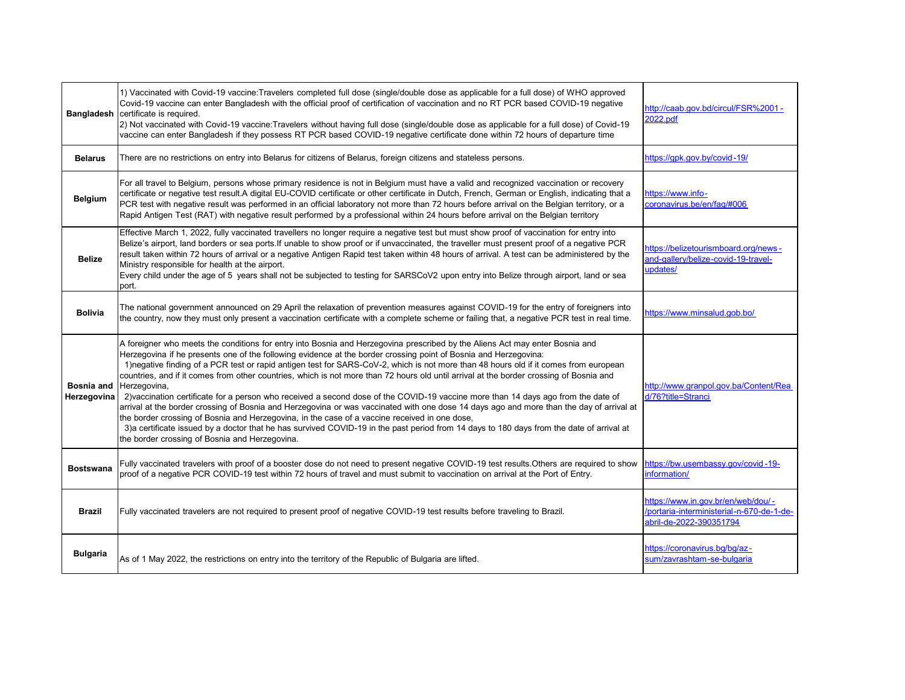| <b>Bangladesh</b>         | 1) Vaccinated with Covid-19 vaccine:Travelers completed full dose (single/double dose as applicable for a full dose) of WHO approved<br>Covid-19 vaccine can enter Bangladesh with the official proof of certification of vaccination and no RT PCR based COVID-19 negative<br>certificate is required.<br>2) Not vaccinated with Covid-19 vaccine: Travelers without having full dose (single/double dose as applicable for a full dose) of Covid-19<br>vaccine can enter Bangladesh if they possess RT PCR based COVID-19 negative certificate done within 72 hours of departure time                                                                                                                                                                                                                                                                                                                                                                                                                                                                                                                                              | http://caab.gov.bd/circul/FSR%2001 -<br>2022.pdf                                                            |
|---------------------------|--------------------------------------------------------------------------------------------------------------------------------------------------------------------------------------------------------------------------------------------------------------------------------------------------------------------------------------------------------------------------------------------------------------------------------------------------------------------------------------------------------------------------------------------------------------------------------------------------------------------------------------------------------------------------------------------------------------------------------------------------------------------------------------------------------------------------------------------------------------------------------------------------------------------------------------------------------------------------------------------------------------------------------------------------------------------------------------------------------------------------------------|-------------------------------------------------------------------------------------------------------------|
| <b>Belarus</b>            | There are no restrictions on entry into Belarus for citizens of Belarus, foreign citizens and stateless persons.                                                                                                                                                                                                                                                                                                                                                                                                                                                                                                                                                                                                                                                                                                                                                                                                                                                                                                                                                                                                                     | https://qpk.gov.by/covid-19/                                                                                |
| <b>Belgium</b>            | For all travel to Belgium, persons whose primary residence is not in Belgium must have a valid and recognized vaccination or recovery<br>certificate or negative test result.A digital EU-COVID certificate or other certificate in Dutch, French, German or English, indicating that a<br>PCR test with negative result was performed in an official laboratory not more than 72 hours before arrival on the Belgian territory, or a<br>Rapid Antigen Test (RAT) with negative result performed by a professional within 24 hours before arrival on the Belgian territory                                                                                                                                                                                                                                                                                                                                                                                                                                                                                                                                                           | https://www.info-<br>coronavirus.be/en/faq/#006                                                             |
| <b>Belize</b>             | Effective March 1, 2022, fully vaccinated travellers no longer require a negative test but must show proof of vaccination for entry into<br>Belize's airport, land borders or sea ports. If unable to show proof or if unvaccinated, the traveller must present proof of a negative PCR<br>result taken within 72 hours of arrival or a negative Antigen Rapid test taken within 48 hours of arrival. A test can be administered by the<br>Ministry responsible for health at the airport.<br>Every child under the age of 5 years shall not be subjected to testing for SARSCoV2 upon entry into Belize through airport, land or sea<br>port.                                                                                                                                                                                                                                                                                                                                                                                                                                                                                       | https://belizetourismboard.org/news-<br>and-gallery/belize-covid-19-travel-<br>updates/                     |
| <b>Bolivia</b>            | The national government announced on 29 April the relaxation of prevention measures against COVID-19 for the entry of foreigners into<br>the country, now they must only present a vaccination certificate with a complete scheme or failing that, a negative PCR test in real time.                                                                                                                                                                                                                                                                                                                                                                                                                                                                                                                                                                                                                                                                                                                                                                                                                                                 | https://www.minsalud.gob.bo/                                                                                |
| Bosnia and<br>Herzegovina | A foreigner who meets the conditions for entry into Bosnia and Herzegovina prescribed by the Aliens Act may enter Bosnia and<br>Herzegovina if he presents one of the following evidence at the border crossing point of Bosnia and Herzegovina:<br>1) negative finding of a PCR test or rapid antigen test for SARS-CoV-2, which is not more than 48 hours old if it comes from european<br>countries, and if it comes from other countries, which is not more than 72 hours old until arrival at the border crossing of Bosnia and<br>Herzegovina,<br>2) vaccination certificate for a person who received a second dose of the COVID-19 vaccine more than 14 days ago from the date of<br>arrival at the border crossing of Bosnia and Herzegovina or was vaccinated with one dose 14 days ago and more than the day of arrival at<br>the border crossing of Bosnia and Herzegovina, in the case of a vaccine received in one dose,<br>3)a certificate issued by a doctor that he has survived COVID-19 in the past period from 14 days to 180 days from the date of arrival at<br>the border crossing of Bosnia and Herzegovina. | http://www.granpol.gov.ba/Content/Rea<br>d/76?title=Stranci                                                 |
| <b>Bostswana</b>          | Fully vaccinated travelers with proof of a booster dose do not need to present negative COVID-19 test results.Others are required to show<br>proof of a negative PCR COVID-19 test within 72 hours of travel and must submit to vaccination on arrival at the Port of Entry.                                                                                                                                                                                                                                                                                                                                                                                                                                                                                                                                                                                                                                                                                                                                                                                                                                                         | https://bw.usembassy.gov/covid-19-<br>information/                                                          |
| <b>Brazil</b>             | Fully vaccinated travelers are not required to present proof of negative COVID-19 test results before traveling to Brazil.                                                                                                                                                                                                                                                                                                                                                                                                                                                                                                                                                                                                                                                                                                                                                                                                                                                                                                                                                                                                           | https://www.in.gov.br/en/web/dou/ -<br>/portaria-interministerial-n-670-de-1-de-<br>abril-de-2022-390351794 |
| <b>Bulgaria</b>           | As of 1 May 2022, the restrictions on entry into the territory of the Republic of Bulgaria are lifted.                                                                                                                                                                                                                                                                                                                                                                                                                                                                                                                                                                                                                                                                                                                                                                                                                                                                                                                                                                                                                               | https://coronavirus.bg/bg/az-<br>sum/zavrashtam-se-bulgaria                                                 |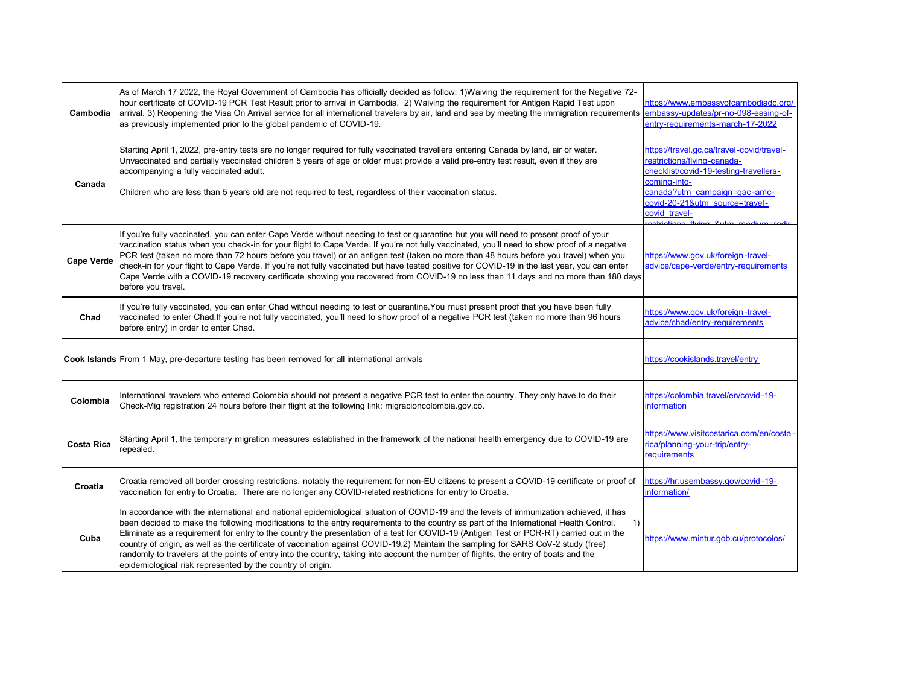| Cambodia          | As of March 17 2022, the Royal Government of Cambodia has officially decided as follow: 1) Waiving the requirement for the Negative 72-<br>hour certificate of COVID-19 PCR Test Result prior to arrival in Cambodia. 2) Waiving the requirement for Antigen Rapid Test upon<br>arrival. 3) Reopening the Visa On Arrival service for all international travelers by air, land and sea by meeting the immigration requirements<br>as previously implemented prior to the global pandemic of COVID-19.                                                                                                                                                                                                                                                                          | https://www.embassyofcambodiadc.org/<br>embassy-updates/pr-no-098-easing-of-<br>entry-requirements-march-17-2022                                                                                                      |
|-------------------|--------------------------------------------------------------------------------------------------------------------------------------------------------------------------------------------------------------------------------------------------------------------------------------------------------------------------------------------------------------------------------------------------------------------------------------------------------------------------------------------------------------------------------------------------------------------------------------------------------------------------------------------------------------------------------------------------------------------------------------------------------------------------------|-----------------------------------------------------------------------------------------------------------------------------------------------------------------------------------------------------------------------|
| Canada            | Starting April 1, 2022, pre-entry tests are no longer required for fully vaccinated travellers entering Canada by land, air or water.<br>Unvaccinated and partially vaccinated children 5 years of age or older must provide a valid pre-entry test result, even if they are<br>accompanying a fully vaccinated adult.<br>Children who are less than 5 years old are not required to test, regardless of their vaccination status.                                                                                                                                                                                                                                                                                                                                             | https://travel.gc.ca/travel-covid/travel-<br>restrictions/flying-canada-<br>checklist/covid-19-testing-travellers-<br>comina-into-<br>canada?utm_campaign=gac-amc-<br>covid-20-21&utm_source=travel-<br>covid travel- |
| Cape Verde        | If you're fully vaccinated, you can enter Cape Verde without needing to test or quarantine but you will need to present proof of your<br>vaccination status when you check-in for your flight to Cape Verde. If you're not fully vaccinated, you'll need to show proof of a negative<br>PCR test (taken no more than 72 hours before you travel) or an antigen test (taken no more than 48 hours before you travel) when you<br>check-in for your flight to Cape Verde. If you're not fully vaccinated but have tested positive for COVID-19 in the last year, you can enter<br>Cape Verde with a COVID-19 recovery certificate showing you recovered from COVID-19 no less than 11 days and no more than 180 days<br>before you travel.                                       | https://www.gov.uk/foreign-travel-<br>advice/cape-verde/entry-requirements                                                                                                                                            |
| Chad              | If you're fully vaccinated, you can enter Chad without needing to test or quarantine. You must present proof that you have been fully<br>vaccinated to enter Chad. If you're not fully vaccinated, you'll need to show proof of a negative PCR test (taken no more than 96 hours<br>before entry) in order to enter Chad.                                                                                                                                                                                                                                                                                                                                                                                                                                                      | https://www.gov.uk/foreign-travel-<br>advice/chad/entry-requirements                                                                                                                                                  |
|                   | Cook Islands From 1 May, pre-departure testing has been removed for all international arrivals                                                                                                                                                                                                                                                                                                                                                                                                                                                                                                                                                                                                                                                                                 | https://cookislands.travel/entry                                                                                                                                                                                      |
| Colombia          | International travelers who entered Colombia should not present a negative PCR test to enter the country. They only have to do their<br>Check-Mig registration 24 hours before their flight at the following link: migracioncolombia.gov.co.                                                                                                                                                                                                                                                                                                                                                                                                                                                                                                                                   | https://colombia.travel/en/covid-19-<br>information                                                                                                                                                                   |
| <b>Costa Rica</b> | Starting April 1, the temporary migration measures established in the framework of the national health emergency due to COVID-19 are<br>repealed.                                                                                                                                                                                                                                                                                                                                                                                                                                                                                                                                                                                                                              | https://www.visitcostarica.com/en/costa-<br>rica/planning-your-trip/entry-<br>equirements                                                                                                                             |
| Croatia           | Croatia removed all border crossing restrictions, notably the requirement for non-EU citizens to present a COVID-19 certificate or proof of<br>vaccination for entry to Croatia. There are no longer any COVID-related restrictions for entry to Croatia.                                                                                                                                                                                                                                                                                                                                                                                                                                                                                                                      | https://hr.usembassy.gov/covid-19-<br>information/                                                                                                                                                                    |
| Cuba              | In accordance with the international and national epidemiological situation of COVID-19 and the levels of immunization achieved, it has<br>been decided to make the following modifications to the entry requirements to the country as part of the International Health Control.<br>1)<br>Eliminate as a requirement for entry to the country the presentation of a test for COVID-19 (Antigen Test or PCR-RT) carried out in the<br>country of origin, as well as the certificate of vaccination against COVID-19.2) Maintain the sampling for SARS CoV-2 study (free)<br>randomly to travelers at the points of entry into the country, taking into account the number of flights, the entry of boats and the<br>epidemiological risk represented by the country of origin. | https://www.mintur.gob.cu/protocolos/                                                                                                                                                                                 |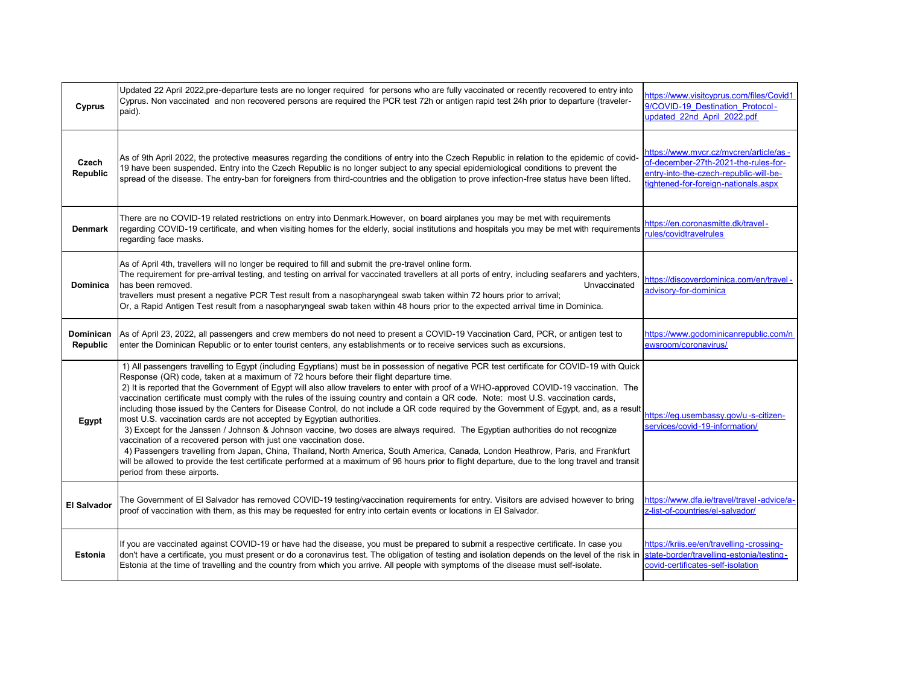| Cyprus                   | Updated 22 April 2022,pre-departure tests are no longer required for persons who are fully vaccinated or recently recovered to entry into<br>Cyprus. Non vaccinated and non recovered persons are required the PCR test 72h or antigen rapid test 24h prior to departure (traveler-<br>paid).                                                                                                                                                                                                                                                                                                                                                                                                                                                                                                                                                                                                                                                                                                                                                                                                                                                                                                                                                                                 | https://www.visitcyprus.com/files/Covid1<br>9/COVID-19 Destination Protocol-<br>updated 22nd April 2022.pdf                                                       |
|--------------------------|-------------------------------------------------------------------------------------------------------------------------------------------------------------------------------------------------------------------------------------------------------------------------------------------------------------------------------------------------------------------------------------------------------------------------------------------------------------------------------------------------------------------------------------------------------------------------------------------------------------------------------------------------------------------------------------------------------------------------------------------------------------------------------------------------------------------------------------------------------------------------------------------------------------------------------------------------------------------------------------------------------------------------------------------------------------------------------------------------------------------------------------------------------------------------------------------------------------------------------------------------------------------------------|-------------------------------------------------------------------------------------------------------------------------------------------------------------------|
| Czech<br><b>Republic</b> | As of 9th April 2022, the protective measures regarding the conditions of entry into the Czech Republic in relation to the epidemic of covid-<br>19 have been suspended. Entry into the Czech Republic is no longer subject to any special epidemiological conditions to prevent the<br>spread of the disease. The entry-ban for foreigners from third-countries and the obligation to prove infection-free status have been lifted.                                                                                                                                                                                                                                                                                                                                                                                                                                                                                                                                                                                                                                                                                                                                                                                                                                          | https://www.mvcr.cz/mvcren/article/as -<br>of-december-27th-2021-the-rules-for-<br>entry-into-the-czech-republic-will-be-<br>tightened-for-foreign-nationals.aspx |
| Denmark                  | There are no COVID-19 related restrictions on entry into Denmark.However, on board airplanes you may be met with requirements<br>regarding COVID-19 certificate, and when visiting homes for the elderly, social institutions and hospitals you may be met with requirements<br>regarding face masks.                                                                                                                                                                                                                                                                                                                                                                                                                                                                                                                                                                                                                                                                                                                                                                                                                                                                                                                                                                         | https://en.coronasmitte.dk/travel-<br>rules/covidtravelrules                                                                                                      |
| <b>Dominica</b>          | As of April 4th, travellers will no longer be required to fill and submit the pre-travel online form.<br>The requirement for pre-arrival testing, and testing on arrival for vaccinated travellers at all ports of entry, including seafarers and yachters,<br>has been removed.<br>Unvaccinated<br>travellers must present a negative PCR Test result from a nasopharyngeal swab taken within 72 hours prior to arrival;<br>Or, a Rapid Antigen Test result from a nasopharyngeal swab taken within 48 hours prior to the expected arrival time in Dominica.                                                                                                                                                                                                                                                                                                                                                                                                                                                                                                                                                                                                                                                                                                                 | - https://discoverdominica.com/en/travel<br>advisory-for-dominica                                                                                                 |
| Dominican<br>Republic    | As of April 23, 2022, all passengers and crew members do not need to present a COVID-19 Vaccination Card, PCR, or antigen test to<br>enter the Dominican Republic or to enter tourist centers, any establishments or to receive services such as excursions.                                                                                                                                                                                                                                                                                                                                                                                                                                                                                                                                                                                                                                                                                                                                                                                                                                                                                                                                                                                                                  | https://www.godominicanrepublic.com/n<br>ewsroom/coronavirus/                                                                                                     |
| Egypt                    | 1) All passengers travelling to Egypt (including Egyptians) must be in possession of negative PCR test certificate for COVID-19 with Quick<br>Response (QR) code, taken at a maximum of 72 hours before their flight departure time.<br>2) It is reported that the Government of Egypt will also allow travelers to enter with proof of a WHO-approved COVID-19 vaccination. The<br>vaccination certificate must comply with the rules of the issuing country and contain a QR code. Note: most U.S. vaccination cards,<br>including those issued by the Centers for Disease Control, do not include a QR code required by the Government of Egypt, and, as a result<br>most U.S. vaccination cards are not accepted by Egyptian authorities.<br>3) Except for the Janssen / Johnson & Johnson vaccine, two doses are always required. The Egyptian authorities do not recognize<br>vaccination of a recovered person with just one vaccination dose.<br>4) Passengers travelling from Japan, China, Thailand, North America, South America, Canada, London Heathrow, Paris, and Frankfurt<br>will be allowed to provide the test certificate performed at a maximum of 96 hours prior to flight departure, due to the long travel and transit<br>period from these airports. | https://eq.usembassy.gov/u-s-citizen-<br>services/covid-19-information/                                                                                           |
| <b>El Salvador</b>       | The Government of El Salvador has removed COVID-19 testing/vaccination requirements for entry. Visitors are advised however to bring<br>proof of vaccination with them, as this may be requested for entry into certain events or locations in El Salvador.                                                                                                                                                                                                                                                                                                                                                                                                                                                                                                                                                                                                                                                                                                                                                                                                                                                                                                                                                                                                                   | https://www.dfa.ie/travel/travel-advice/a-<br>z-list-of-countries/el-salvador/                                                                                    |
| Estonia                  | If you are vaccinated against COVID-19 or have had the disease, you must be prepared to submit a respective certificate. In case you<br>don't have a certificate, you must present or do a coronavirus test. The obligation of testing and isolation depends on the level of the risk in state-border/travelling-estonia/testing-<br>Estonia at the time of travelling and the country from which you arrive. All people with symptoms of the disease must self-isolate.                                                                                                                                                                                                                                                                                                                                                                                                                                                                                                                                                                                                                                                                                                                                                                                                      | https://kriis.ee/en/travelling-crossing-<br>covid-certificates-self-isolation                                                                                     |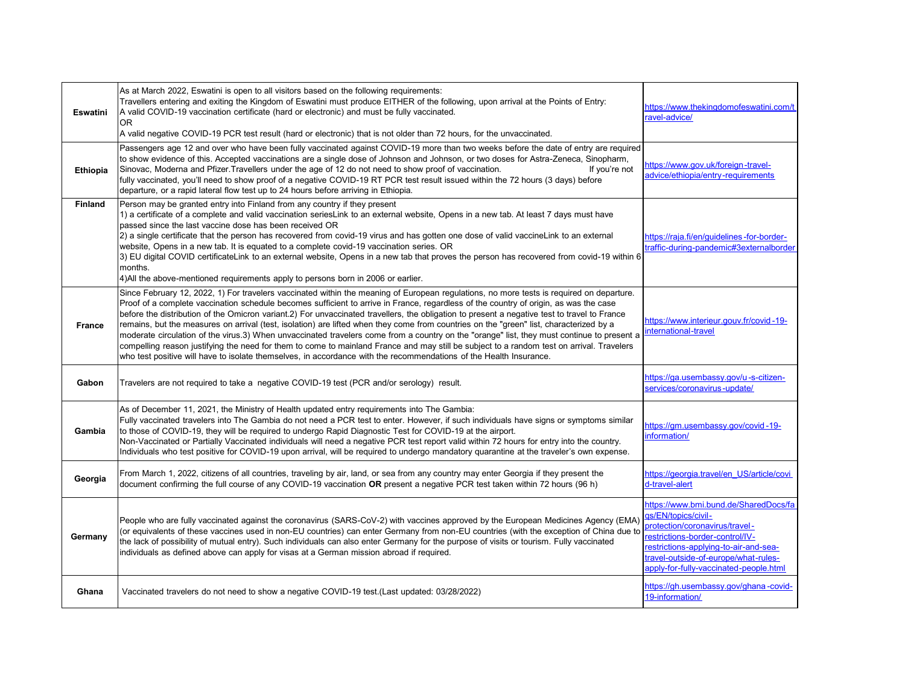| Eswatini        | As at March 2022, Eswatini is open to all visitors based on the following requirements:<br>Travellers entering and exiting the Kingdom of Eswatini must produce EITHER of the following, upon arrival at the Points of Entry:<br>A valid COVID-19 vaccination certificate (hard or electronic) and must be fully vaccinated.<br>OR.<br>A valid negative COVID-19 PCR test result (hard or electronic) that is not older than 72 hours, for the unvaccinated.                                                                                                                                                                                                                                                                                                                                                                                                                                                                                                                                  | https://www.thekingdomofeswatini.com/t<br>ravel-advice/                                                                                                                                                                                                      |
|-----------------|-----------------------------------------------------------------------------------------------------------------------------------------------------------------------------------------------------------------------------------------------------------------------------------------------------------------------------------------------------------------------------------------------------------------------------------------------------------------------------------------------------------------------------------------------------------------------------------------------------------------------------------------------------------------------------------------------------------------------------------------------------------------------------------------------------------------------------------------------------------------------------------------------------------------------------------------------------------------------------------------------|--------------------------------------------------------------------------------------------------------------------------------------------------------------------------------------------------------------------------------------------------------------|
| <b>Ethiopia</b> | Passengers age 12 and over who have been fully vaccinated against COVID-19 more than two weeks before the date of entry are required<br>to show evidence of this. Accepted vaccinations are a single dose of Johnson and Johnson, or two doses for Astra-Zeneca, Sinopharm,<br>Sinovac, Moderna and Pfizer. Travellers under the age of 12 do not need to show proof of vaccination.<br>If you're not<br>fully vaccinated, you'll need to show proof of a negative COVID-19 RT PCR test result issued within the 72 hours (3 days) before<br>departure, or a rapid lateral flow test up to 24 hours before arriving in Ethiopia.                                                                                                                                                                                                                                                                                                                                                              | https://www.gov.uk/foreign-travel-<br>advice/ethiopia/entry-requirements                                                                                                                                                                                     |
| <b>Finland</b>  | Person may be granted entry into Finland from any country if they present<br>1) a certificate of a complete and valid vaccination seriesLink to an external website, Opens in a new tab. At least 7 days must have<br>passed since the last vaccine dose has been received OR<br>(2) a single certificate that the person has recovered from covid-19 virus and has gotten one dose of valid vaccineLink to an external<br>website, Opens in a new tab. It is equated to a complete covid-19 vaccination series. OR<br>3) EU digital COVID certificateLink to an external website, Opens in a new tab that proves the person has recovered from covid-19 within 6<br>months.<br>4) All the above-mentioned requirements apply to persons born in 2006 or earlier.                                                                                                                                                                                                                             | https://raja.fi/en/quidelines-for-border-<br>traffic-during-pandemic#3externalborder                                                                                                                                                                         |
| <b>France</b>   | Since February 12, 2022, 1) For travelers vaccinated within the meaning of European regulations, no more tests is required on departure.<br>Proof of a complete vaccination schedule becomes sufficient to arrive in France, regardless of the country of origin, as was the case<br>before the distribution of the Omicron variant.2) For unvaccinated travellers, the obligation to present a negative test to travel to France<br>remains, but the measures on arrival (test, isolation) are lifted when they come from countries on the "green" list, characterized by a<br>moderate circulation of the virus.3) When unvaccinated travelers come from a country on the "orange" list, they must continue to present a<br>compelling reason justifying the need for them to come to mainland France and may still be subject to a random test on arrival. Travelers<br>who test positive will have to isolate themselves, in accordance with the recommendations of the Health Insurance. | https://www.interieur.gouv.fr/covid-19-<br>international-travel                                                                                                                                                                                              |
| Gabon           | Travelers are not required to take a negative COVID-19 test (PCR and/or serology) result.                                                                                                                                                                                                                                                                                                                                                                                                                                                                                                                                                                                                                                                                                                                                                                                                                                                                                                     | https://ga.usembassy.gov/u-s-citizen-<br>services/coronavirus-update/                                                                                                                                                                                        |
| Gambia          | As of December 11, 2021, the Ministry of Health updated entry requirements into The Gambia:<br>Fully vaccinated travelers into The Gambia do not need a PCR test to enter. However, if such individuals have signs or symptoms similar<br>to those of COVID-19, they will be required to undergo Rapid Diagnostic Test for COVID-19 at the airport.<br>Non-Vaccinated or Partially Vaccinated individuals will need a negative PCR test report valid within 72 hours for entry into the country.<br>Individuals who test positive for COVID-19 upon arrival, will be required to undergo mandatory quarantine at the traveler's own expense.                                                                                                                                                                                                                                                                                                                                                  | https://gm.usembassy.gov/covid-19-<br>information/                                                                                                                                                                                                           |
| Georgia         | From March 1, 2022, citizens of all countries, traveling by air, land, or sea from any country may enter Georgia if they present the<br>document confirming the full course of any COVID-19 vaccination OR present a negative PCR test taken within 72 hours (96 h)                                                                                                                                                                                                                                                                                                                                                                                                                                                                                                                                                                                                                                                                                                                           | https://georgia.travel/en US/article/covi<br>d-travel-alert                                                                                                                                                                                                  |
| Germany         | People who are fully vaccinated against the coronavirus (SARS-CoV-2) with vaccines approved by the European Medicines Agency (EMA)<br>(or equivalents of these vaccines used in non-EU countries) can enter Germany from non-EU countries (with the exception of China due to<br>the lack of possibility of mutual entry). Such individuals can also enter Germany for the purpose of visits or tourism. Fully vaccinated<br>individuals as defined above can apply for visas at a German mission abroad if required.                                                                                                                                                                                                                                                                                                                                                                                                                                                                         | https://www.bmi.bund.de/SharedDocs/fa<br>qs/EN/topics/civil-<br>protection/coronavirus/travel-<br>restrictions-border-control/IV-<br>restrictions-applying-to-air-and-sea-<br>travel-outside-of-europe/what-rules-<br>apply-for-fully-vaccinated-people.html |
| Ghana           | Vaccinated travelers do not need to show a negative COVID-19 test.(Last updated: 03/28/2022)                                                                                                                                                                                                                                                                                                                                                                                                                                                                                                                                                                                                                                                                                                                                                                                                                                                                                                  | https://qh.usembassy.gov/qhana-covid-<br>19-information/                                                                                                                                                                                                     |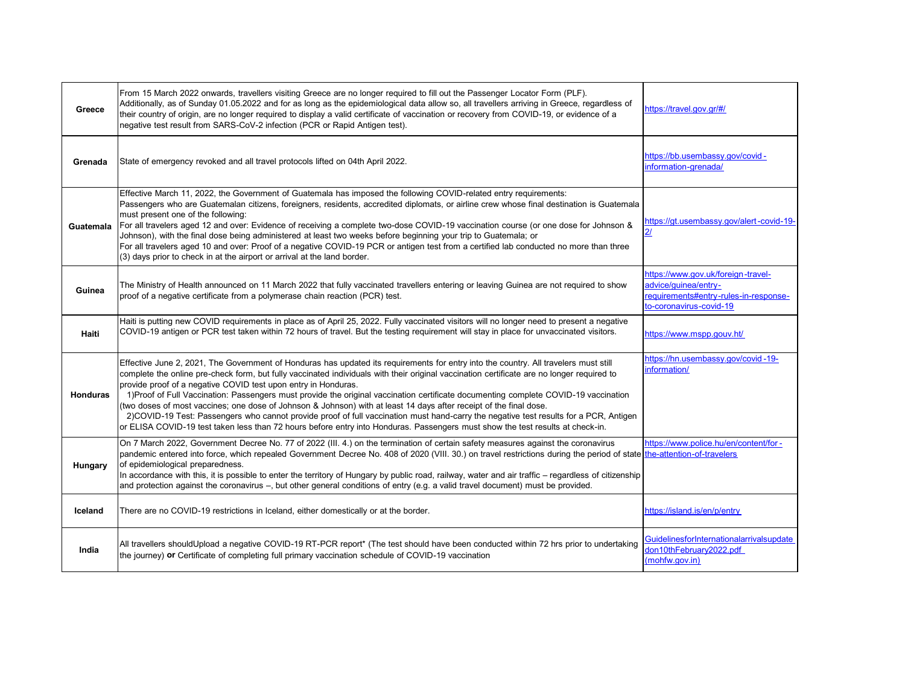| Greece          | From 15 March 2022 onwards, travellers visiting Greece are no longer required to fill out the Passenger Locator Form (PLF).<br>Additionally, as of Sunday 01.05.2022 and for as long as the epidemiological data allow so, all travellers arriving in Greece, regardless of<br>their country of origin, are no longer required to display a valid certificate of vaccination or recovery from COVID-19, or evidence of a<br>negative test result from SARS-CoV-2 infection (PCR or Rapid Antigen test).                                                                                                                                                                                                                                                                                                                                                                                       | https://travel.gov.gr/#/                                                                                                       |
|-----------------|-----------------------------------------------------------------------------------------------------------------------------------------------------------------------------------------------------------------------------------------------------------------------------------------------------------------------------------------------------------------------------------------------------------------------------------------------------------------------------------------------------------------------------------------------------------------------------------------------------------------------------------------------------------------------------------------------------------------------------------------------------------------------------------------------------------------------------------------------------------------------------------------------|--------------------------------------------------------------------------------------------------------------------------------|
| Grenada         | State of emergency revoked and all travel protocols lifted on 04th April 2022.                                                                                                                                                                                                                                                                                                                                                                                                                                                                                                                                                                                                                                                                                                                                                                                                                | https://bb.usembassy.gov/covid-<br>information-grenada/                                                                        |
| Guatemala       | Effective March 11, 2022, the Government of Guatemala has imposed the following COVID-related entry requirements:<br>Passengers who are Guatemalan citizens, foreigners, residents, accredited diplomats, or airline crew whose final destination is Guatemala<br>must present one of the following:<br>For all travelers aged 12 and over: Evidence of receiving a complete two-dose COVID-19 vaccination course (or one dose for Johnson &<br>Johnson), with the final dose being administered at least two weeks before beginning your trip to Guatemala; or<br>For all travelers aged 10 and over: Proof of a negative COVID-19 PCR or antigen test from a certified lab conducted no more than three<br>(3) days prior to check in at the airport or arrival at the land border.                                                                                                         | https://gt.usembassy.gov/alert-covid-19-                                                                                       |
| Guinea          | The Ministry of Health announced on 11 March 2022 that fully vaccinated travellers entering or leaving Guinea are not required to show<br>proof of a negative certificate from a polymerase chain reaction (PCR) test.                                                                                                                                                                                                                                                                                                                                                                                                                                                                                                                                                                                                                                                                        | https://www.gov.uk/foreign-travel-<br>advice/quinea/entry-<br>requirements#entry-rules-in-response-<br>to-coronavirus-covid-19 |
| Haiti           | Haiti is putting new COVID requirements in place as of April 25, 2022. Fully vaccinated visitors will no longer need to present a negative<br>COVID-19 antigen or PCR test taken within 72 hours of travel. But the testing requirement will stay in place for unvaccinated visitors.                                                                                                                                                                                                                                                                                                                                                                                                                                                                                                                                                                                                         | https://www.mspp.gouv.ht/                                                                                                      |
| <b>Honduras</b> | Effective June 2, 2021, The Government of Honduras has updated its requirements for entry into the country. All travelers must still<br>complete the online pre-check form, but fully vaccinated individuals with their original vaccination certificate are no longer required to<br>provide proof of a negative COVID test upon entry in Honduras.<br>1) Proof of Full Vaccination: Passengers must provide the original vaccination certificate documenting complete COVID-19 vaccination<br>(two doses of most vaccines; one dose of Johnson & Johnson) with at least 14 days after receipt of the final dose.<br>2)COVID-19 Test: Passengers who cannot provide proof of full vaccination must hand-carry the negative test results for a PCR, Antigen<br>or ELISA COVID-19 test taken less than 72 hours before entry into Honduras. Passengers must show the test results at check-in. | https://hn.usembassy.gov/covid-19-<br>information/                                                                             |
| Hungary         | On 7 March 2022, Government Decree No. 77 of 2022 (III. 4.) on the termination of certain safety measures against the coronavirus<br>pandemic entered into force, which repealed Government Decree No. 408 of 2020 (VIII. 30.) on travel restrictions during the period of state the-attention-of-travelers<br>of epidemiological preparedness.<br>In accordance with this, it is possible to enter the territory of Hungary by public road, railway, water and air traffic - regardless of citizenship<br>and protection against the coronavirus -, but other general conditions of entry (e.g. a valid travel document) must be provided.                                                                                                                                                                                                                                                   | https://www.police.hu/en/content/for-                                                                                          |
| Iceland         | There are no COVID-19 restrictions in Iceland, either domestically or at the border.                                                                                                                                                                                                                                                                                                                                                                                                                                                                                                                                                                                                                                                                                                                                                                                                          | https://island.is/en/p/entry                                                                                                   |
| India           | All travellers shouldUpload a negative COVID-19 RT-PCR report* (The test should have been conducted within 72 hrs prior to undertaking<br>the journey) or Certificate of completing full primary vaccination schedule of COVID-19 vaccination                                                                                                                                                                                                                                                                                                                                                                                                                                                                                                                                                                                                                                                 | GuidelinesforInternationalarrivalsupdate<br>don10thFebruary2022.pdf<br>(mohfw.gov.in)                                          |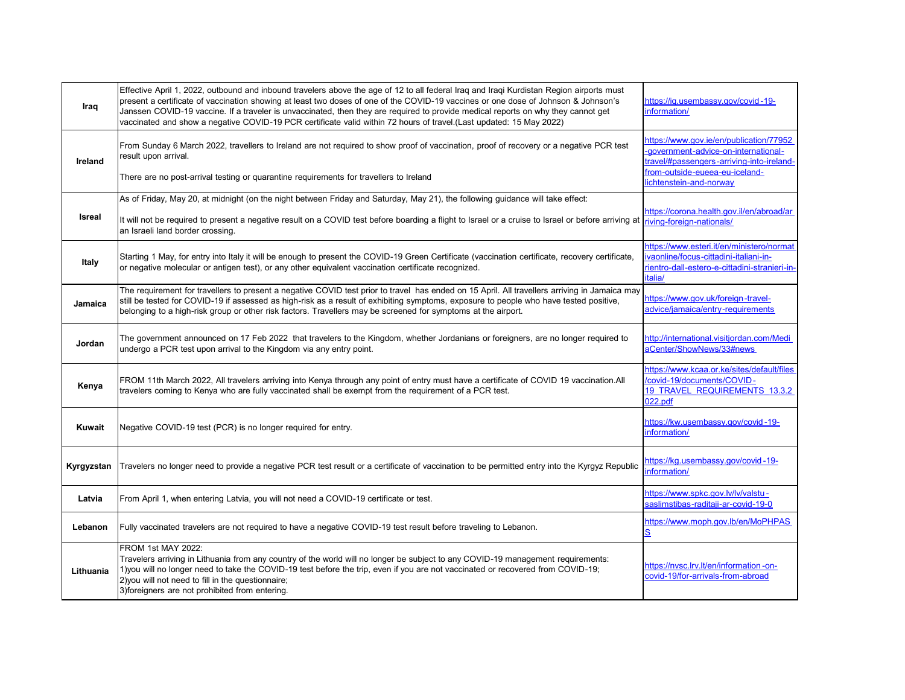| Iraq       | Effective April 1, 2022, outbound and inbound travelers above the age of 12 to all federal Iraq and Iraqi Kurdistan Region airports must<br>present a certificate of vaccination showing at least two doses of one of the COVID-19 vaccines or one dose of Johnson & Johnson's<br>Janssen COVID-19 vaccine. If a traveler is unvaccinated, then they are required to provide medical reports on why they cannot get<br>vaccinated and show a negative COVID-19 PCR certificate valid within 72 hours of travel.(Last updated: 15 May 2022) | https://ig.usembassy.gov/covid-19-<br>information/                                                                                                                                        |
|------------|--------------------------------------------------------------------------------------------------------------------------------------------------------------------------------------------------------------------------------------------------------------------------------------------------------------------------------------------------------------------------------------------------------------------------------------------------------------------------------------------------------------------------------------------|-------------------------------------------------------------------------------------------------------------------------------------------------------------------------------------------|
| Ireland    | From Sunday 6 March 2022, travellers to Ireland are not required to show proof of vaccination, proof of recovery or a negative PCR test<br>result upon arrival.<br>There are no post-arrival testing or quarantine requirements for travellers to Ireland                                                                                                                                                                                                                                                                                  | https://www.gov.ie/en/publication/77952<br>-government-advice-on-international-<br>travel/#passengers-arriving-into-ireland-<br>from-outside-eueea-eu-iceland-<br>lichtenstein-and-norway |
|            |                                                                                                                                                                                                                                                                                                                                                                                                                                                                                                                                            |                                                                                                                                                                                           |
| Isreal     | As of Friday, May 20, at midnight (on the night between Friday and Saturday, May 21), the following guidance will take effect:<br>It will not be required to present a negative result on a COVID test before boarding a flight to Israel or a cruise to Israel or before arriving at<br>an Israeli land border crossing.                                                                                                                                                                                                                  | https://corona.health.gov.il/en/abroad/ar<br>riving-foreign-nationals/                                                                                                                    |
| Italy      | Starting 1 May, for entry into Italy it will be enough to present the COVID-19 Green Certificate (vaccination certificate, recovery certificate,<br>or negative molecular or antigen test), or any other equivalent vaccination certificate recognized.                                                                                                                                                                                                                                                                                    | https://www.esteri.it/en/ministero/normat<br>vaonline/focus-cittadini-italiani-in-<br>rientro-dall-estero-e-cittadini-stranieri-in-<br>italia/                                            |
| Jamaica    | The requirement for travellers to present a negative COVID test prior to travel has ended on 15 April. All travellers arriving in Jamaica may<br>still be tested for COVID-19 if assessed as high-risk as a result of exhibiting symptoms, exposure to people who have tested positive,<br>belonging to a high-risk group or other risk factors. Travellers may be screened for symptoms at the airport.                                                                                                                                   | https://www.gov.uk/foreign-travel-<br>advice/jamaica/entry-requirements                                                                                                                   |
| Jordan     | The government announced on 17 Feb 2022 that travelers to the Kingdom, whether Jordanians or foreigners, are no longer required to<br>undergo a PCR test upon arrival to the Kingdom via any entry point.                                                                                                                                                                                                                                                                                                                                  | http://international.visitjordan.com/Medi<br>aCenter/ShowNews/33#news                                                                                                                     |
| Kenya      | FROM 11th March 2022, All travelers arriving into Kenya through any point of entry must have a certificate of COVID 19 vaccination.All<br>travelers coming to Kenya who are fully vaccinated shall be exempt from the requirement of a PCR test.                                                                                                                                                                                                                                                                                           | https://www.kcaa.or.ke/sites/default/files<br>covid-19/documents/COVID-<br>19 TRAVEL REQUIREMENTS 13.3.2<br>022.pdf                                                                       |
| Kuwait     | Negative COVID-19 test (PCR) is no longer required for entry.                                                                                                                                                                                                                                                                                                                                                                                                                                                                              | https://kw.usembassy.gov/covid-19-<br>information/                                                                                                                                        |
| Kyrgyzstan | Travelers no longer need to provide a negative PCR test result or a certificate of vaccination to be permitted entry into the Kyrgyz Republic                                                                                                                                                                                                                                                                                                                                                                                              | https://kg.usembassy.gov/covid-19-<br>nformation/                                                                                                                                         |
| Latvia     | From April 1, when entering Latvia, you will not need a COVID-19 certificate or test.                                                                                                                                                                                                                                                                                                                                                                                                                                                      | https://www.spkc.gov.lv/lv/valstu-<br>saslimstibas-raditaii-ar-covid-19-0                                                                                                                 |
| Lebanon    | Fully vaccinated travelers are not required to have a negative COVID-19 test result before traveling to Lebanon.                                                                                                                                                                                                                                                                                                                                                                                                                           | https://www.moph.gov.lb/en/MoPHPAS                                                                                                                                                        |
| Lithuania  | FROM 1st MAY 2022:<br>Travelers arriving in Lithuania from any country of the world will no longer be subject to any COVID-19 management requirements:<br>1) you will no longer need to take the COVID-19 test before the trip, even if you are not vaccinated or recovered from COVID-19;<br>2) you will not need to fill in the questionnaire;<br>3) foreigners are not prohibited from entering.                                                                                                                                        | https://nvsc.lrv.lt/en/information-on-<br>covid-19/for-arrivals-from-abroad                                                                                                               |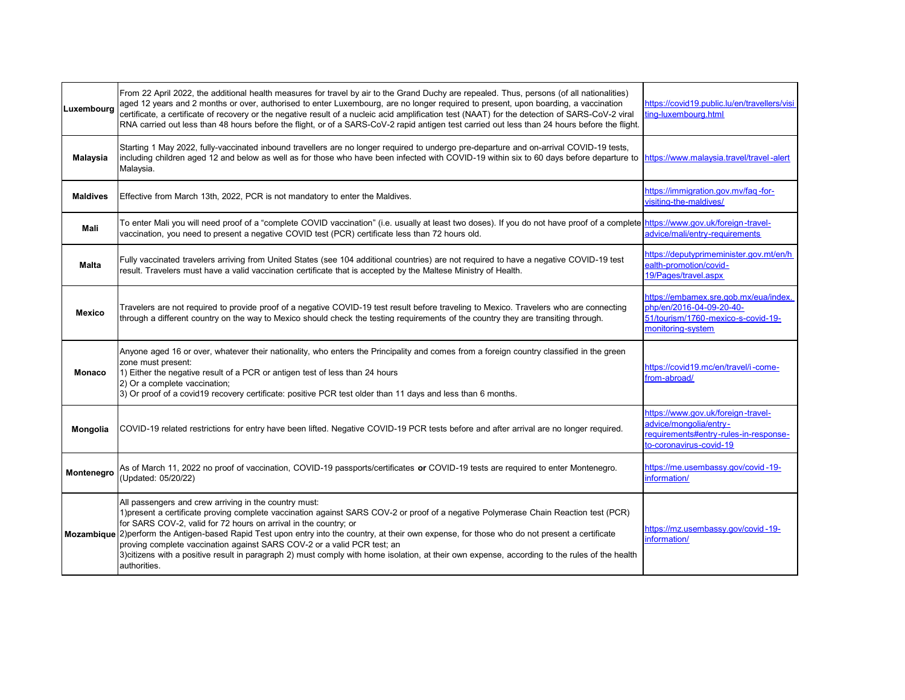| Luxembourg      | From 22 April 2022, the additional health measures for travel by air to the Grand Duchy are repealed. Thus, persons (of all nationalities)<br>aged 12 years and 2 months or over, authorised to enter Luxembourg, are no longer required to present, upon boarding, a vaccination<br>certificate, a certificate of recovery or the negative result of a nucleic acid amplification test (NAAT) for the detection of SARS-CoV-2 viral<br>RNA carried out less than 48 hours before the flight, or of a SARS-CoV-2 rapid antigen test carried out less than 24 hours before the flight.                                                                            | https://covid19.public.lu/en/travellers/visi<br>ting-luxembourg.html                                                             |
|-----------------|------------------------------------------------------------------------------------------------------------------------------------------------------------------------------------------------------------------------------------------------------------------------------------------------------------------------------------------------------------------------------------------------------------------------------------------------------------------------------------------------------------------------------------------------------------------------------------------------------------------------------------------------------------------|----------------------------------------------------------------------------------------------------------------------------------|
| Malaysia        | Starting 1 May 2022, fully-vaccinated inbound travellers are no longer required to undergo pre-departure and on-arrival COVID-19 tests,<br>including children aged 12 and below as well as for those who have been infected with COVID-19 within six to 60 days before departure to  https://www.malaysia.travel/travel-alert<br>Malaysia.                                                                                                                                                                                                                                                                                                                       |                                                                                                                                  |
| <b>Maldives</b> | Effective from March 13th, 2022, PCR is not mandatory to enter the Maldives.                                                                                                                                                                                                                                                                                                                                                                                                                                                                                                                                                                                     | https://immigration.gov.mv/fag-for-<br>visiting-the-maldives/                                                                    |
| Mali            | To enter Mali you will need proof of a "complete COVID vaccination" (i.e. usually at least two doses). If you do not have proof of a complete https://www.gov.uk/foreign-travel-<br>vaccination, you need to present a negative COVID test (PCR) certificate less than 72 hours old.                                                                                                                                                                                                                                                                                                                                                                             | advice/mali/entry-requirements                                                                                                   |
| Malta           | Fully vaccinated travelers arriving from United States (see 104 additional countries) are not required to have a negative COVID-19 test<br>result. Travelers must have a valid vaccination certificate that is accepted by the Maltese Ministry of Health.                                                                                                                                                                                                                                                                                                                                                                                                       | https://deputyprimeminister.gov.mt/en/h<br>ealth-promotion/covid-<br>19/Pages/travel.aspx                                        |
| <b>Mexico</b>   | Travelers are not required to provide proof of a negative COVID-19 test result before traveling to Mexico. Travelers who are connecting<br>through a different country on the way to Mexico should check the testing reguirements of the country they are transiting through.                                                                                                                                                                                                                                                                                                                                                                                    | https://embamex.sre.gob.mx/eua/index.<br>php/en/2016-04-09-20-40-<br>51/tourism/1760-mexico-s-covid-19-<br>monitoring-system     |
| <b>Monaco</b>   | Anyone aged 16 or over, whatever their nationality, who enters the Principality and comes from a foreign country classified in the green<br>zone must present:<br>1) Either the negative result of a PCR or antigen test of less than 24 hours<br>2) Or a complete vaccination;<br>3) Or proof of a covid19 recovery certificate: positive PCR test older than 11 days and less than 6 months.                                                                                                                                                                                                                                                                   | https://covid19.mc/en/travel/i-come-<br>from-abroad/                                                                             |
| Mongolia        | COVID-19 related restrictions for entry have been lifted. Negative COVID-19 PCR tests before and after arrival are no longer required.                                                                                                                                                                                                                                                                                                                                                                                                                                                                                                                           | https://www.gov.uk/foreign-travel-<br>advice/mongolia/entry-<br>requirements#entry-rules-in-response-<br>to-coronavirus-covid-19 |
| Montenegro      | As of March 11, 2022 no proof of vaccination, COVID-19 passports/certificates or COVID-19 tests are required to enter Montenegro.<br>(Updated: 05/20/22)                                                                                                                                                                                                                                                                                                                                                                                                                                                                                                         | https://me.usembassy.gov/covid-19-<br>nformation/                                                                                |
|                 | All passengers and crew arriving in the country must:<br>1)present a certificate proving complete vaccination against SARS COV-2 or proof of a negative Polymerase Chain Reaction test (PCR)<br>for SARS COV-2, valid for 72 hours on arrival in the country; or<br>Mozambique 2) perform the Antigen-based Rapid Test upon entry into the country, at their own expense, for those who do not present a certificate<br>proving complete vaccination against SARS COV-2 or a valid PCR test; an<br>3)citizens with a positive result in paragraph 2) must comply with home isolation, at their own expense, according to the rules of the health<br>authorities. | https://mz.usembassy.gov/covid-19-<br>nformation/                                                                                |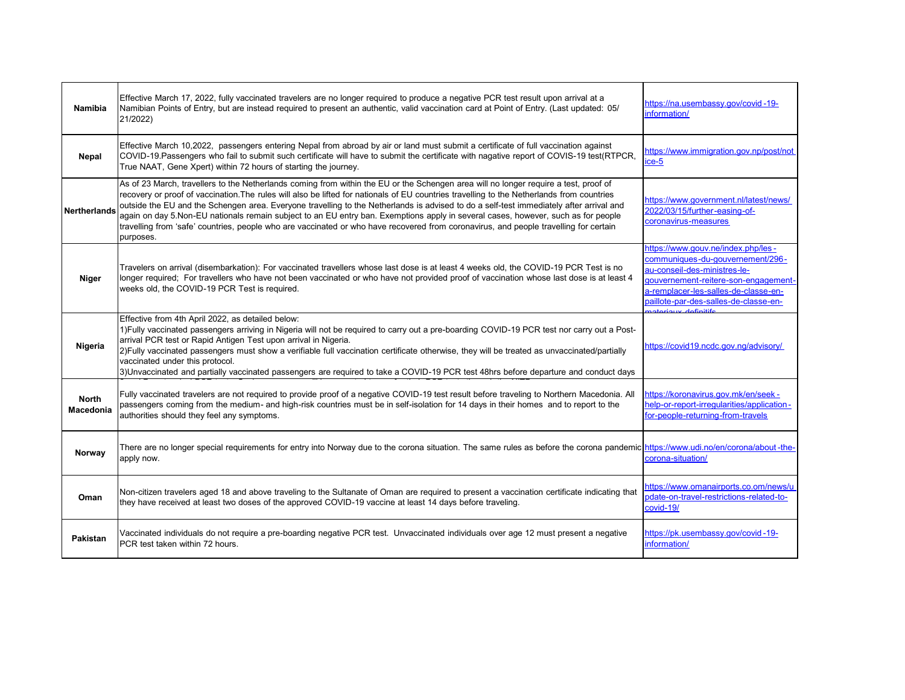| Namibia                          | Effective March 17, 2022, fully vaccinated travelers are no longer required to produce a negative PCR test result upon arrival at a<br>Namibian Points of Entry, but are instead required to present an authentic, valid vaccination card at Point of Entry. (Last updated: 05/<br>21/2022)                                                                                                                                                                                                                                                                                                                                                                                                                              | https://na.usembassy.gov/covid-19-<br>information/                                                                                                                                                                                                     |
|----------------------------------|--------------------------------------------------------------------------------------------------------------------------------------------------------------------------------------------------------------------------------------------------------------------------------------------------------------------------------------------------------------------------------------------------------------------------------------------------------------------------------------------------------------------------------------------------------------------------------------------------------------------------------------------------------------------------------------------------------------------------|--------------------------------------------------------------------------------------------------------------------------------------------------------------------------------------------------------------------------------------------------------|
| Nepal                            | Effective March 10,2022, passengers entering Nepal from abroad by air or land must submit a certificate of full vaccination against<br>COVID-19. Passengers who fail to submit such certificate will have to submit the certificate with nagative report of COVIS-19 test(RTPCR,<br>True NAAT, Gene Xpert) within 72 hours of starting the journey.                                                                                                                                                                                                                                                                                                                                                                      | https://www.immigration.gov.np/post/not<br>$ice-5$                                                                                                                                                                                                     |
| <b>Nertherlands</b>              | As of 23 March, travellers to the Netherlands coming from within the EU or the Schengen area will no longer require a test, proof of<br>recovery or proof of vaccination. The rules will also be lifted for nationals of EU countries travelling to the Netherlands from countries<br>outside the EU and the Schengen area. Everyone travelling to the Netherlands is advised to do a self-test immediately after arrival and<br>again on day 5.Non-EU nationals remain subject to an EU entry ban. Exemptions apply in several cases, however, such as for people<br>travelling from 'safe' countries, people who are vaccinated or who have recovered from coronavirus, and people travelling for certain<br>purposes. | https://www.government.nl/latest/news/<br>2022/03/15/further-easing-of-<br>coronavirus-measures                                                                                                                                                        |
| Niger                            | Travelers on arrival (disembarkation): For vaccinated travellers whose last dose is at least 4 weeks old, the COVID-19 PCR Test is no<br>longer required; For travellers who have not been vaccinated or who have not provided proof of vaccination whose last dose is at least 4<br>weeks old, the COVID-19 PCR Test is required.                                                                                                                                                                                                                                                                                                                                                                                       | https://www.gouv.ne/index.php/les-<br>communiques-du-gouvernement/296-<br>au-conseil-des-ministres-le-<br>qouvernement-reitere-son-engagement-<br>a-remplacer-les-salles-de-classe-en-<br>paillote-par-des-salles-de-classe-en-<br>atoriauv dofinitife |
| Nigeria                          | Effective from 4th April 2022, as detailed below:<br>1) Fully vaccinated passengers arriving in Nigeria will not be required to carry out a pre-boarding COVID-19 PCR test nor carry out a Post-<br>arrival PCR test or Rapid Antigen Test upon arrival in Nigeria.<br>2) Fully vaccinated passengers must show a verifiable full vaccination certificate otherwise, they will be treated as unvaccinated/partially<br>vaccinated under this protocol.<br>3)Unvaccinated and partially vaccinated passengers are required to take a COVID-19 PCR test 48hrs before departure and conduct days                                                                                                                            | https://covid19.ncdc.gov.ng/advisory/                                                                                                                                                                                                                  |
| <b>North</b><br><b>Macedonia</b> | Fully vaccinated travelers are not required to provide proof of a negative COVID-19 test result before traveling to Northern Macedonia. All<br>passengers coming from the medium- and high-risk countries must be in self-isolation for 14 days in their homes and to report to the<br>authorities should they feel any symptoms.                                                                                                                                                                                                                                                                                                                                                                                        | https://koronavirus.gov.mk/en/seek-<br>help-or-report-irregularities/application-<br>for-people-returning-from-travels                                                                                                                                 |
| Norway                           | There are no longer special requirements for entry into Norway due to the corona situation. The same rules as before the corona pandemic https://www.udi.no/en/corona/about-the-<br>apply now.                                                                                                                                                                                                                                                                                                                                                                                                                                                                                                                           | corona-situation/                                                                                                                                                                                                                                      |
| Oman                             | Non-citizen travelers aged 18 and above traveling to the Sultanate of Oman are required to present a vaccination certificate indicating that<br>they have received at least two doses of the approved COVID-19 vaccine at least 14 days before traveling.                                                                                                                                                                                                                                                                                                                                                                                                                                                                | https://www.omanairports.co.om/news/u<br>pdate-on-travel-restrictions-related-to-<br>covid-19/                                                                                                                                                         |
| Pakistan                         | Vaccinated individuals do not require a pre-boarding negative PCR test. Unvaccinated individuals over age 12 must present a negative<br>PCR test taken within 72 hours.                                                                                                                                                                                                                                                                                                                                                                                                                                                                                                                                                  | https://pk.usembassy.gov/covid-19-<br>information/                                                                                                                                                                                                     |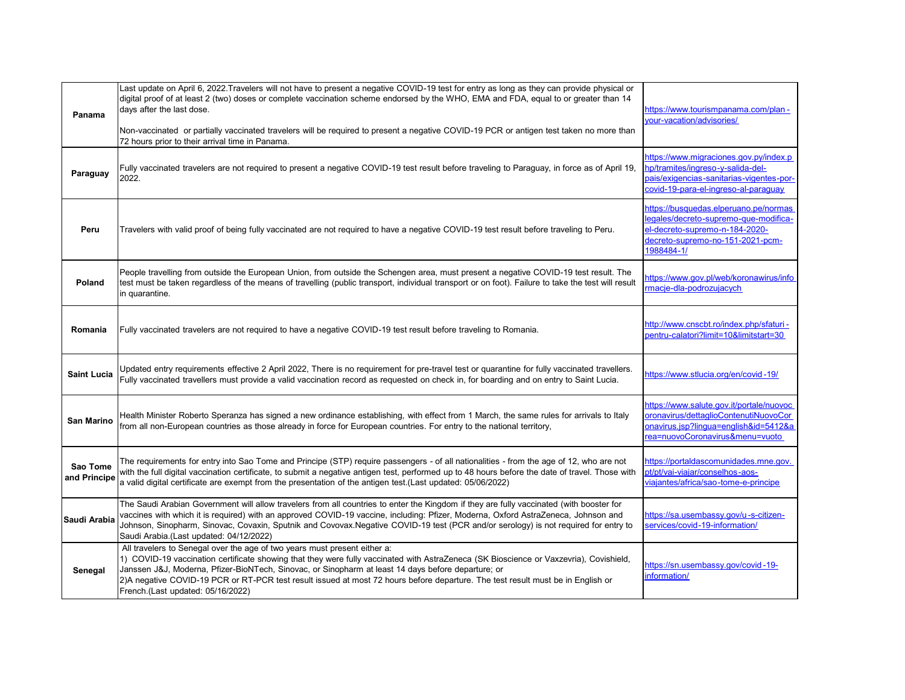| Panama                   | Last update on April 6, 2022.Travelers will not have to present a negative COVID-19 test for entry as long as they can provide physical or<br>digital proof of at least 2 (two) doses or complete vaccination scheme endorsed by the WHO, EMA and FDA, equal to or greater than 14<br>days after the last dose.<br>Non-vaccinated or partially vaccinated travelers will be required to present a negative COVID-19 PCR or antigen test taken no more than<br>72 hours prior to their arrival time in Panama. | https://www.tourismpanama.com/plan-<br>your-vacation/advisories/                                                                                                  |
|--------------------------|---------------------------------------------------------------------------------------------------------------------------------------------------------------------------------------------------------------------------------------------------------------------------------------------------------------------------------------------------------------------------------------------------------------------------------------------------------------------------------------------------------------|-------------------------------------------------------------------------------------------------------------------------------------------------------------------|
| Paraguay                 | Fully vaccinated travelers are not required to present a negative COVID-19 test result before traveling to Paraguay, in force as of April 19,<br>2022.                                                                                                                                                                                                                                                                                                                                                        | https://www.migraciones.gov.py/index.p<br>hp/tramites/ingreso-y-salida-del-<br>pais/exigencias-sanitarias-vigentes-por-<br>covid-19-para-el-ingreso-al-paraguay   |
| Peru                     | Travelers with valid proof of being fully vaccinated are not required to have a negative COVID-19 test result before traveling to Peru.                                                                                                                                                                                                                                                                                                                                                                       | https://busquedas.elperuano.pe/normas<br>egales/decreto-supremo-que-modifica-<br>el-decreto-supremo-n-184-2020-<br>decreto-supremo-no-151-2021-pcm-<br>1988484-1/ |
| Poland                   | People travelling from outside the European Union, from outside the Schengen area, must present a negative COVID-19 test result. The<br>test must be taken regardless of the means of travelling (public transport, individual transport or on foot). Failure to take the test will result<br>in quarantine.                                                                                                                                                                                                  | https://www.gov.pl/web/koronawirus/info<br>rmacje-dla-podrozujacych                                                                                               |
| Romania                  | Fully vaccinated travelers are not required to have a negative COVID-19 test result before traveling to Romania.                                                                                                                                                                                                                                                                                                                                                                                              | http://www.cnscbt.ro/index.php/sfaturi-<br>oentru-calatori?limit=10&limitstart=30                                                                                 |
| <b>Saint Lucia</b>       | Updated entry requirements effective 2 April 2022, There is no requirement for pre-travel test or quarantine for fully vaccinated travellers.<br>Fully vaccinated travellers must provide a valid vaccination record as requested on check in, for boarding and on entry to Saint Lucia.                                                                                                                                                                                                                      | https://www.stlucia.org/en/covid-19/                                                                                                                              |
| San Marino               | Health Minister Roberto Speranza has signed a new ordinance establishing, with effect from 1 March, the same rules for arrivals to Italy<br>from all non-European countries as those already in force for European countries. For entry to the national territory,                                                                                                                                                                                                                                            | https://www.salute.gov.it/portale/nuovoc<br>oronavirus/dettaglioContenutiNuovoCor<br>onavirus.jsp?lingua=english&id=5412&a<br>rea=nuovoCoronavirus&menu=vuoto     |
| Sao Tome<br>and Principe | The requirements for entry into Sao Tome and Principe (STP) require passengers - of all nationalities - from the age of 12, who are not<br>with the full digital vaccination certificate, to submit a negative antigen test, performed up to 48 hours before the date of travel. Those with<br>a valid digital certificate are exempt from the presentation of the antigen test.(Last updated: 05/06/2022)                                                                                                    | https://portaldascomunidades.mne.gov.<br>ot/pt/vai-viajar/conselhos-aos-<br>viajantes/africa/sao-tome-e-principe                                                  |
| Saudi Arabia             | The Saudi Arabian Government will allow travelers from all countries to enter the Kingdom if they are fully vaccinated (with booster for<br>vaccines with which it is required) with an approved COVID-19 vaccine, including: Pfizer, Moderna, Oxford AstraZeneca, Johnson and<br>Johnson, Sinopharm, Sinovac, Covaxin, Sputnik and Covovax.Negative COVID-19 test (PCR and/or serology) is not required for entry to<br>Saudi Arabia.(Last updated: 04/12/2022)                                              | https://sa.usembassy.gov/u-s-citizen-<br>services/covid-19-information/                                                                                           |
| Senegal                  | All travelers to Senegal over the age of two years must present either a:<br>1) COVID-19 vaccination certificate showing that they were fully vaccinated with AstraZeneca (SK Bioscience or Vaxzevria), Covishield,<br>Janssen J&J, Moderna, Pfizer-BioNTech, Sinovac, or Sinopharm at least 14 days before departure; or<br>2)A negative COVID-19 PCR or RT-PCR test result issued at most 72 hours before departure. The test result must be in English or<br>French.(Last updated: 05/16/2022)             | https://sn.usembassy.gov/covid-19-<br>information/                                                                                                                |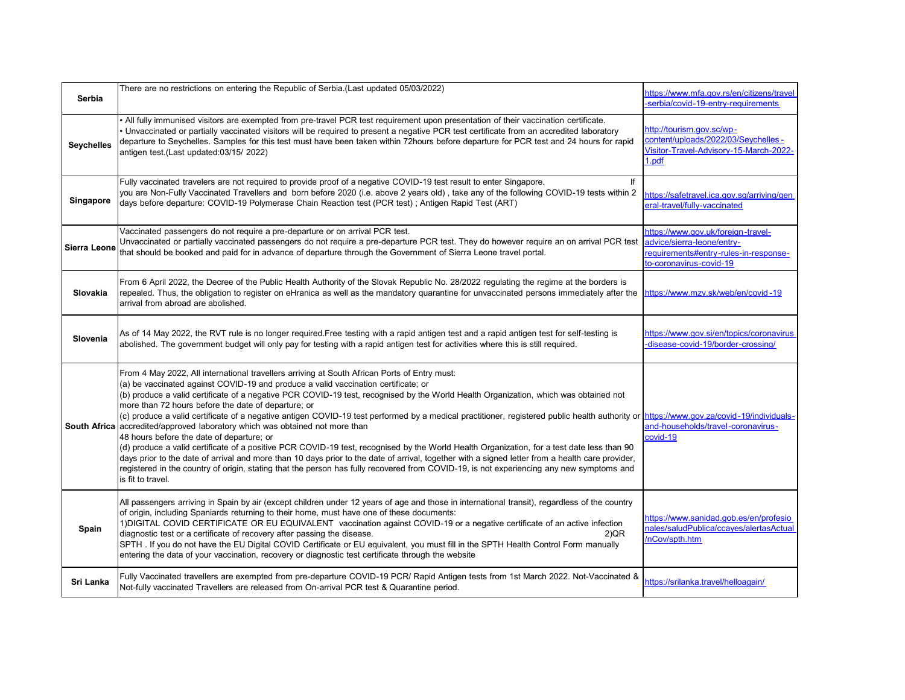| Serbia            | There are no restrictions on entering the Republic of Serbia.(Last updated 05/03/2022)                                                                                                                                                                                                                                                                                                                                                                                                                                                                                                                                                                                                                                                                                                                                                                                                                                                                                                                                                                                                                                                                                       | https://www.mfa.gov.rs/en/citizens/travel<br>serbia/covid-19-entry-requirements                                                      |
|-------------------|------------------------------------------------------------------------------------------------------------------------------------------------------------------------------------------------------------------------------------------------------------------------------------------------------------------------------------------------------------------------------------------------------------------------------------------------------------------------------------------------------------------------------------------------------------------------------------------------------------------------------------------------------------------------------------------------------------------------------------------------------------------------------------------------------------------------------------------------------------------------------------------------------------------------------------------------------------------------------------------------------------------------------------------------------------------------------------------------------------------------------------------------------------------------------|--------------------------------------------------------------------------------------------------------------------------------------|
| <b>Seychelles</b> | All fully immunised visitors are exempted from pre-travel PCR test requirement upon presentation of their vaccination certificate.<br>Unvaccinated or partially vaccinated visitors will be required to present a negative PCR test certificate from an accredited laboratory<br>departure to Seychelles. Samples for this test must have been taken within 72hours before departure for PCR test and 24 hours for rapid<br>antigen test.(Last updated:03/15/ 2022)                                                                                                                                                                                                                                                                                                                                                                                                                                                                                                                                                                                                                                                                                                          | http://tourism.gov.sc/wp-<br>content/uploads/2022/03/Seychelles -<br>Visitor-Travel-Advisory-15-March-2022-<br>1.pdf                 |
| Singapore         | Fully vaccinated travelers are not required to provide proof of a negative COVID-19 test result to enter Singapore.<br>lf<br>you are Non-Fully Vaccinated Travellers and born before 2020 (i.e. above 2 years old), take any of the following COVID-19 tests within 2<br>days before departure: COVID-19 Polymerase Chain Reaction test (PCR test); Antigen Rapid Test (ART)                                                                                                                                                                                                                                                                                                                                                                                                                                                                                                                                                                                                                                                                                                                                                                                                 | https://safetravel.ica.gov.sg/arriving/gen<br>eral-travel/fully-vaccinated                                                           |
| Sierra Leone      | Vaccinated passengers do not require a pre-departure or on arrival PCR test.<br>Unvaccinated or partially vaccinated passengers do not require a pre-departure PCR test. They do however require an on arrival PCR test<br>that should be booked and paid for in advance of departure through the Government of Sierra Leone travel portal.                                                                                                                                                                                                                                                                                                                                                                                                                                                                                                                                                                                                                                                                                                                                                                                                                                  | https://www.gov.uk/foreign-travel-<br>advice/sierra-leone/entry-<br>requirements#entry-rules-in-response-<br>to-coronavirus-covid-19 |
| Slovakia          | From 6 April 2022, the Decree of the Public Health Authority of the Slovak Republic No. 28/2022 regulating the regime at the borders is<br>repealed. Thus, the obligation to register on eHranica as well as the mandatory quarantine for unvaccinated persons immediately after the<br>arrival from abroad are abolished.                                                                                                                                                                                                                                                                                                                                                                                                                                                                                                                                                                                                                                                                                                                                                                                                                                                   | https://www.mzv.sk/web/en/covid-19                                                                                                   |
| Slovenia          | As of 14 May 2022, the RVT rule is no longer required.Free testing with a rapid antigen test and a rapid antigen test for self-testing is<br>abolished. The government budget will only pay for testing with a rapid antigen test for activities where this is still required.                                                                                                                                                                                                                                                                                                                                                                                                                                                                                                                                                                                                                                                                                                                                                                                                                                                                                               | https://www.gov.si/en/topics/coronavirus<br>disease-covid-19/border-crossing/                                                        |
|                   | From 4 May 2022, All international travellers arriving at South African Ports of Entry must:<br>(a) be vaccinated against COVID-19 and produce a valid vaccination certificate; or<br>(b) produce a valid certificate of a negative PCR COVID-19 test, recognised by the World Health Organization, which was obtained not<br>more than 72 hours before the date of departure; or<br>(c) produce a valid certificate of a negative antigen COVID-19 test performed by a medical practitioner, registered public health authority or https://www.gov.za/covid-19/individuals-<br>South Africa accredited/approved laboratory which was obtained not more than<br>48 hours before the date of departure; or<br>(d) produce a valid certificate of a positive PCR COVID-19 test, recognised by the World Health Organization, for a test date less than 90<br>days prior to the date of arrival and more than 10 days prior to the date of arrival, together with a signed letter from a health care provider,<br>registered in the country of origin, stating that the person has fully recovered from COVID-19, is not experiencing any new symptoms and<br>is fit to travel. | and-households/travel-coronavirus-<br>covid-19                                                                                       |
| Spain             | All passengers arriving in Spain by air (except children under 12 years of age and those in international transit), regardless of the country<br>of origin, including Spaniards returning to their home, must have one of these documents:<br>1)DIGITAL COVID CERTIFICATE OR EU EQUIVALENT vaccination against COVID-19 or a negative certificate of an active infection<br>diagnostic test or a certificate of recovery after passing the disease.<br>2)QR<br>SPTH. If you do not have the EU Digital COVID Certificate or EU equivalent, you must fill in the SPTH Health Control Form manually<br>entering the data of your vaccination, recovery or diagnostic test certificate through the website                                                                                                                                                                                                                                                                                                                                                                                                                                                                      | https://www.sanidad.gob.es/en/profesio<br>nales/saludPublica/ccayes/alertasActual<br>/nCov/spth.htm                                  |
| Sri Lanka         | Fully Vaccinated travellers are exempted from pre-departure COVID-19 PCR/ Rapid Antigen tests from 1st March 2022. Not-Vaccinated &<br>Not-fully vaccinated Travellers are released from On-arrival PCR test & Quarantine period.                                                                                                                                                                                                                                                                                                                                                                                                                                                                                                                                                                                                                                                                                                                                                                                                                                                                                                                                            | https://srilanka.travel/helloagain/                                                                                                  |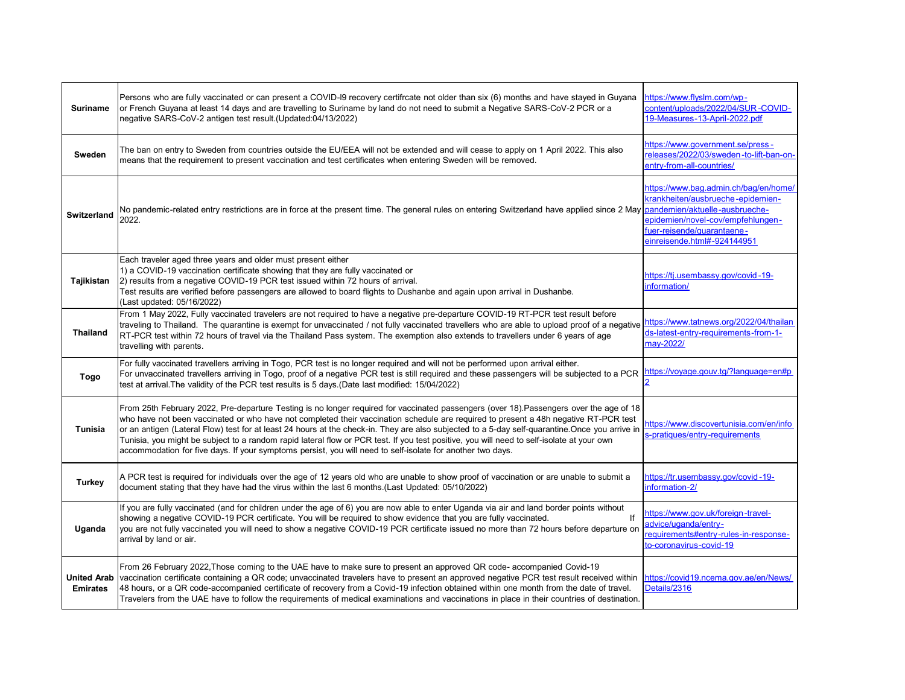| <b>Suriname</b>                       | Persons who are fully vaccinated or can present a COVID-I9 recovery certifrcate not older than six (6) months and have stayed in Guyana<br>or French Guyana at least 14 days and are travelling to Suriname by land do not need to submit a Negative SARS-CoV-2 PCR or a<br>negative SARS-CoV-2 antigen test result.(Updated:04/13/2022)                                                                                                                                                                                                                                                                                                                                                     | https://www.flyslm.com/wp-<br>content/uploads/2022/04/SUR-COVID-<br>19-Measures-13-April-2022.pdf                                                                            |
|---------------------------------------|----------------------------------------------------------------------------------------------------------------------------------------------------------------------------------------------------------------------------------------------------------------------------------------------------------------------------------------------------------------------------------------------------------------------------------------------------------------------------------------------------------------------------------------------------------------------------------------------------------------------------------------------------------------------------------------------|------------------------------------------------------------------------------------------------------------------------------------------------------------------------------|
| Sweden                                | The ban on entry to Sweden from countries outside the EU/EEA will not be extended and will cease to apply on 1 April 2022. This also<br>means that the requirement to present vaccination and test certificates when entering Sweden will be removed.                                                                                                                                                                                                                                                                                                                                                                                                                                        | https://www.government.se/press-<br>releases/2022/03/sweden-to-lift-ban-on-<br>entry-from-all-countries/                                                                     |
| <b>Switzerland</b>                    | No pandemic-related entry restrictions are in force at the present time. The general rules on entering Switzerland have applied since 2 May <mark>pandemien/aktuelle-ausbrueche-</mark><br>2022.                                                                                                                                                                                                                                                                                                                                                                                                                                                                                             | https://www.bag.admin.ch/bag/en/home/<br>krankheiten/ausbrueche-epidemien-<br>epidemien/novel-cov/empfehlungen-<br>fuer-reisende/quarantaene-<br>einreisende.html#-924144951 |
| Tajikistan                            | Each traveler aged three years and older must present either<br>1) a COVID-19 vaccination certificate showing that they are fully vaccinated or<br>2) results from a negative COVID-19 PCR test issued within 72 hours of arrival.<br>Test results are verified before passengers are allowed to board flights to Dushanbe and again upon arrival in Dushanbe.<br>(Last updated: 05/16/2022)                                                                                                                                                                                                                                                                                                 | https://tj.usembassy.gov/covid-19-<br>nformation/                                                                                                                            |
| <b>Thailand</b>                       | From 1 May 2022, Fully vaccinated travelers are not required to have a negative pre-departure COVID-19 RT-PCR test result before<br>traveling to Thailand. The quarantine is exempt for unvaccinated / not fully vaccinated travellers who are able to upload proof of a negative https://www.tatnews.org/2022/04/thailan<br>RT-PCR test within 72 hours of travel via the Thailand Pass system. The exemption also extends to travellers under 6 years of age<br>travelling with parents.                                                                                                                                                                                                   | ds-latest-entry-requirements-from-1-<br>may-2022/                                                                                                                            |
| Togo                                  | For fully vaccinated travellers arriving in Togo, PCR test is no longer required and will not be performed upon arrival either.<br>For unvaccinated travellers arriving in Togo, proof of a negative PCR test is still required and these passengers will be subjected to a PCR<br>test at arrival. The validity of the PCR test results is 5 days. (Date last modified: 15/04/2022)                                                                                                                                                                                                                                                                                                         | ttps://voyage.gouv.tg/?language=en#p                                                                                                                                         |
| <b>Tunisia</b>                        | From 25th February 2022, Pre-departure Testing is no longer required for vaccinated passengers (over 18). Passengers over the age of 18<br>who have not been vaccinated or who have not completed their vaccination schedule are required to present a 48h negative RT-PCR test<br>or an antigen (Lateral Flow) test for at least 24 hours at the check-in. They are also subjected to a 5-day self-quarantine.Once you arrive in<br>Tunisia, you might be subject to a random rapid lateral flow or PCR test. If you test positive, you will need to self-isolate at your own<br>accommodation for five days. If your symptoms persist, you will need to self-isolate for another two days. | <u>ttps://www.discovertunisia.com/en/info</u><br>s-pratiques/entry-requirements                                                                                              |
| <b>Turkey</b>                         | A PCR test is required for individuals over the age of 12 years old who are unable to show proof of vaccination or are unable to submit a<br>document stating that they have had the virus within the last 6 months.(Last Updated: 05/10/2022)                                                                                                                                                                                                                                                                                                                                                                                                                                               | https://tr.usembassy.gov/covid-19-<br>information-2/                                                                                                                         |
| Uganda                                | If you are fully vaccinated (and for children under the age of 6) you are now able to enter Uganda via air and land border points without<br>showing a negative COVID-19 PCR certificate. You will be required to show evidence that you are fully vaccinated.<br>you are not fully vaccinated you will need to show a negative COVID-19 PCR certificate issued no more than 72 hours before departure on<br>arrival by land or air.                                                                                                                                                                                                                                                         | https://www.gov.uk/foreign-travel-<br>advice/uganda/entry-<br>equirements#entry-rules-in-response-<br>to-coronavirus-covid-19                                                |
| <b>United Arab</b><br><b>Emirates</b> | From 26 February 2022, Those coming to the UAE have to make sure to present an approved QR code-accompanied Covid-19<br>vaccination certificate containing a QR code; unvaccinated travelers have to present an approved negative PCR test result received within<br>48 hours, or a QR code-accompanied certificate of recovery from a Covid-19 infection obtained within one month from the date of travel.<br>Travelers from the UAE have to follow the requirements of medical examinations and vaccinations in place in their countries of destination.                                                                                                                                  | https://covid19.ncema.gov.ae/en/News/<br>Details/2316                                                                                                                        |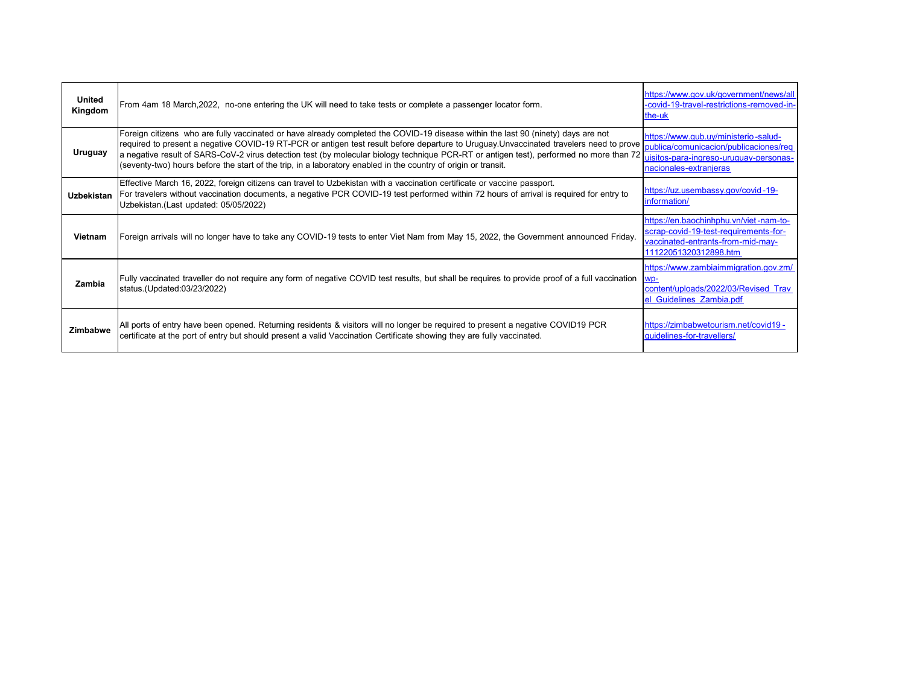| United<br>Kingdom | From 4am 18 March, 2022, no-one entering the UK will need to take tests or complete a passenger locator form.                                                                                                                                                                                                                                                                                                                                                                                                                                                                  | https://www.gov.uk/government/news/all<br>-covid-19-travel-restrictions-removed-in-<br>the-uk                                                 |
|-------------------|--------------------------------------------------------------------------------------------------------------------------------------------------------------------------------------------------------------------------------------------------------------------------------------------------------------------------------------------------------------------------------------------------------------------------------------------------------------------------------------------------------------------------------------------------------------------------------|-----------------------------------------------------------------------------------------------------------------------------------------------|
| Uruguay           | Foreign citizens who are fully vaccinated or have already completed the COVID-19 disease within the last 90 (ninety) days are not<br>required to present a negative COVID-19 RT-PCR or antigen test result before departure to Uruguay.Unvaccinated travelers need to prove<br>a negative result of SARS-CoV-2 virus detection test (by molecular biology technique PCR-RT or antigen test), performed no more than 72 usitos-para-ingreso-uruguay-personas-<br>(seventy-two) hours before the start of the trip, in a laboratory enabled in the country of origin or transit. | https://www.qub.uy/ministerio-salud-<br>publica/comunicacion/publicaciones/req<br>nacionales-extranjeras                                      |
| <b>Uzbekistan</b> | Effective March 16, 2022, foreign citizens can travel to Uzbekistan with a vaccination certificate or vaccine passport.<br>For travelers without vaccination documents, a negative PCR COVID-19 test performed within 72 hours of arrival is required for entry to<br>Uzbekistan.(Last updated: 05/05/2022)                                                                                                                                                                                                                                                                    | https://uz.usembassy.gov/covid-19-<br>information/                                                                                            |
| Vietnam           | Foreign arrivals will no longer have to take any COVID-19 tests to enter Viet Nam from May 15, 2022, the Government announced Friday.                                                                                                                                                                                                                                                                                                                                                                                                                                          | https://en.baochinhphu.vn/viet-nam-to-<br>scrap-covid-19-test-requirements-for-<br>vaccinated-entrants-from-mid-may-<br>11122051320312898.htm |
| Zambia            | Fully vaccinated traveller do not require any form of negative COVID test results, but shall be requires to provide proof of a full vaccination<br>status.(Updated:03/23/2022)                                                                                                                                                                                                                                                                                                                                                                                                 | https://www.zambiaimmigration.gov.zm/<br>content/uploads/2022/03/Revised Trav<br><b>Guidelines Zambia.pdf</b>                                 |
| Zimbabwe          | All ports of entry have been opened. Returning residents & visitors will no longer be required to present a negative COVID19 PCR<br>certificate at the port of entry but should present a valid Vaccination Certificate showing they are fully vaccinated.                                                                                                                                                                                                                                                                                                                     | https://zimbabwetourism.net/covid19 -<br>quidelines-for-travellers/                                                                           |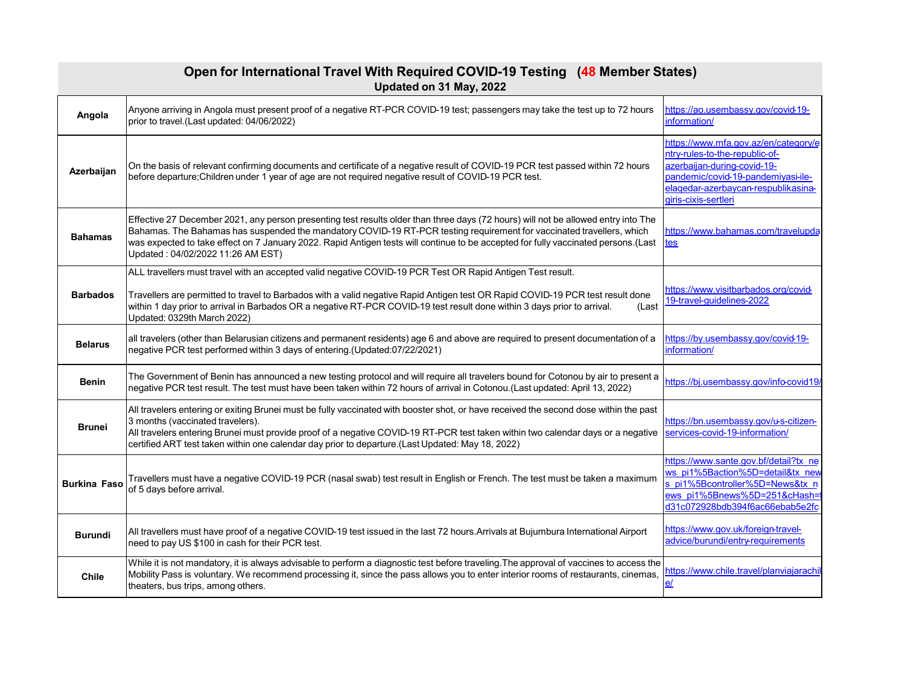| Anyone arriving in Angola must present proof of a negative RT-PCR COVID-19 test; passengers may take the test up to 72 hours<br>https://ao.usembassy.gov/covid-19-<br>Angola<br>information/<br>prior to travel.(Last updated: 04/06/2022)<br>ntry-rules-to-the-republic-of-<br>azerbaijan-during-covid-19-<br>On the basis of relevant confirming documents and certificate of a negative result of COVID-19 PCR test passed within 72 hours<br>Azerbaijan<br>pandemic/covid-19-pandemiyasi-ile-<br>before departure; Children under 1 year of age are not required negative result of COVID-19 PCR test.<br>elagedar-azerbaycan-respublikasina-<br>giris-cixis-sertleri<br>Effective 27 December 2021, any person presenting test results older than three days (72 hours) will not be allowed entry into The<br>Bahamas. The Bahamas has suspended the mandatory COVID-19 RT-PCR testing requirement for vaccinated travellers, which<br><b>Bahamas</b><br>was expected to take effect on 7 January 2022. Rapid Antigen tests will continue to be accepted for fully vaccinated persons. (Last<br>tes<br>Updated: 04/02/2022 11:26 AM EST)<br>ALL travellers must travel with an accepted valid negative COVID-19 PCR Test OR Rapid Antigen Test result.<br>https://www.visitbarbados.org/covid-<br>Travellers are permitted to travel to Barbados with a valid negative Rapid Antigen test OR Rapid COVID-19 PCR test result done<br><b>Barbados</b><br>19-travel-quidelines-2022<br>within 1 day prior to arrival in Barbados OR a negative RT-PCR COVID-19 test result done within 3 days prior to arrival.<br>(Last<br>Updated: 0329th March 2022)<br>all travelers (other than Belarusian citizens and permanent residents) age 6 and above are required to present documentation of a<br>https://by.usembassy.gov/covid-19-<br><b>Belarus</b><br>information/<br>negative PCR test performed within 3 days of entering.(Updated:07/22/2021)<br>The Government of Benin has announced a new testing protocol and will require all travelers bound for Cotonou by air to present a<br><b>Benin</b><br>negative PCR test result. The test must have been taken within 72 hours of arrival in Cotonou.(Last updated: April 13, 2022)<br>All travelers entering or exiting Brunei must be fully vaccinated with booster shot, or have received the second dose within the past<br>3 months (vaccinated travelers).<br><b>Brunei</b><br>services-covid-19-information/<br>All travelers entering Brunei must provide proof of a negative COVID-19 RT-PCR test taken within two calendar days or a negative<br>certified ART test taken within one calendar day prior to departure.(Last Updated: May 18, 2022)<br>Travellers must have a negative COVID-19 PCR (nasal swab) test result in English or French. The test must be taken a maximum<br><b>Burkina Faso</b><br>of 5 days before arrival.<br>https://www.gov.uk/foreign-travel-<br>All travellers must have proof of a negative COVID-19 test issued in the last 72 hours. Arrivals at Bujumbura International Airport<br><b>Burundi</b><br>advice/burundi/entry-requirements<br>need to pay US \$100 in cash for their PCR test.<br>While it is not mandatory, it is always advisable to perform a diagnostic test before traveling. The approval of vaccines to access the<br>Mobility Pass is voluntary. We recommend processing it, since the pass allows you to enter interior rooms of restaurants, cinemas,<br><b>Chile</b><br>$\overline{el}$<br>theaters, bus trips, among others. | Open for International Travel With Required COVID-19 Testing (48 Member States)<br>Updated on 31 May, 2022 |  |                                                                                                                                                                                 |  |
|---------------------------------------------------------------------------------------------------------------------------------------------------------------------------------------------------------------------------------------------------------------------------------------------------------------------------------------------------------------------------------------------------------------------------------------------------------------------------------------------------------------------------------------------------------------------------------------------------------------------------------------------------------------------------------------------------------------------------------------------------------------------------------------------------------------------------------------------------------------------------------------------------------------------------------------------------------------------------------------------------------------------------------------------------------------------------------------------------------------------------------------------------------------------------------------------------------------------------------------------------------------------------------------------------------------------------------------------------------------------------------------------------------------------------------------------------------------------------------------------------------------------------------------------------------------------------------------------------------------------------------------------------------------------------------------------------------------------------------------------------------------------------------------------------------------------------------------------------------------------------------------------------------------------------------------------------------------------------------------------------------------------------------------------------------------------------------------------------------------------------------------------------------------------------------------------------------------------------------------------------------------------------------------------------------------------------------------------------------------------------------------------------------------------------------------------------------------------------------------------------------------------------------------------------------------------------------------------------------------------------------------------------------------------------------------------------------------------------------------------------------------------------------------------------------------------------------------------------------------------------------------------------------------------------------------------------------------------------------------------------------------------------------------------------------------------------------------------------------------------------------------------------------------------------------------------------------------------------------------------------------------------------------------------------------------------------------------------------------------------------------------------------------------------------------------------------------------------------------------------------------------------------------------------------------|------------------------------------------------------------------------------------------------------------|--|---------------------------------------------------------------------------------------------------------------------------------------------------------------------------------|--|
|                                                                                                                                                                                                                                                                                                                                                                                                                                                                                                                                                                                                                                                                                                                                                                                                                                                                                                                                                                                                                                                                                                                                                                                                                                                                                                                                                                                                                                                                                                                                                                                                                                                                                                                                                                                                                                                                                                                                                                                                                                                                                                                                                                                                                                                                                                                                                                                                                                                                                                                                                                                                                                                                                                                                                                                                                                                                                                                                                                                                                                                                                                                                                                                                                                                                                                                                                                                                                                                                                                                                                         |                                                                                                            |  |                                                                                                                                                                                 |  |
|                                                                                                                                                                                                                                                                                                                                                                                                                                                                                                                                                                                                                                                                                                                                                                                                                                                                                                                                                                                                                                                                                                                                                                                                                                                                                                                                                                                                                                                                                                                                                                                                                                                                                                                                                                                                                                                                                                                                                                                                                                                                                                                                                                                                                                                                                                                                                                                                                                                                                                                                                                                                                                                                                                                                                                                                                                                                                                                                                                                                                                                                                                                                                                                                                                                                                                                                                                                                                                                                                                                                                         |                                                                                                            |  | https://www.mfa.gov.az/en/category/e                                                                                                                                            |  |
|                                                                                                                                                                                                                                                                                                                                                                                                                                                                                                                                                                                                                                                                                                                                                                                                                                                                                                                                                                                                                                                                                                                                                                                                                                                                                                                                                                                                                                                                                                                                                                                                                                                                                                                                                                                                                                                                                                                                                                                                                                                                                                                                                                                                                                                                                                                                                                                                                                                                                                                                                                                                                                                                                                                                                                                                                                                                                                                                                                                                                                                                                                                                                                                                                                                                                                                                                                                                                                                                                                                                                         |                                                                                                            |  | https://www.bahamas.com/travelupda                                                                                                                                              |  |
|                                                                                                                                                                                                                                                                                                                                                                                                                                                                                                                                                                                                                                                                                                                                                                                                                                                                                                                                                                                                                                                                                                                                                                                                                                                                                                                                                                                                                                                                                                                                                                                                                                                                                                                                                                                                                                                                                                                                                                                                                                                                                                                                                                                                                                                                                                                                                                                                                                                                                                                                                                                                                                                                                                                                                                                                                                                                                                                                                                                                                                                                                                                                                                                                                                                                                                                                                                                                                                                                                                                                                         |                                                                                                            |  |                                                                                                                                                                                 |  |
|                                                                                                                                                                                                                                                                                                                                                                                                                                                                                                                                                                                                                                                                                                                                                                                                                                                                                                                                                                                                                                                                                                                                                                                                                                                                                                                                                                                                                                                                                                                                                                                                                                                                                                                                                                                                                                                                                                                                                                                                                                                                                                                                                                                                                                                                                                                                                                                                                                                                                                                                                                                                                                                                                                                                                                                                                                                                                                                                                                                                                                                                                                                                                                                                                                                                                                                                                                                                                                                                                                                                                         |                                                                                                            |  |                                                                                                                                                                                 |  |
|                                                                                                                                                                                                                                                                                                                                                                                                                                                                                                                                                                                                                                                                                                                                                                                                                                                                                                                                                                                                                                                                                                                                                                                                                                                                                                                                                                                                                                                                                                                                                                                                                                                                                                                                                                                                                                                                                                                                                                                                                                                                                                                                                                                                                                                                                                                                                                                                                                                                                                                                                                                                                                                                                                                                                                                                                                                                                                                                                                                                                                                                                                                                                                                                                                                                                                                                                                                                                                                                                                                                                         |                                                                                                            |  | https://bj.usembassy.gov/info-covid19/                                                                                                                                          |  |
|                                                                                                                                                                                                                                                                                                                                                                                                                                                                                                                                                                                                                                                                                                                                                                                                                                                                                                                                                                                                                                                                                                                                                                                                                                                                                                                                                                                                                                                                                                                                                                                                                                                                                                                                                                                                                                                                                                                                                                                                                                                                                                                                                                                                                                                                                                                                                                                                                                                                                                                                                                                                                                                                                                                                                                                                                                                                                                                                                                                                                                                                                                                                                                                                                                                                                                                                                                                                                                                                                                                                                         |                                                                                                            |  | https://bn.usembassy.gov/u-s-citizen-                                                                                                                                           |  |
|                                                                                                                                                                                                                                                                                                                                                                                                                                                                                                                                                                                                                                                                                                                                                                                                                                                                                                                                                                                                                                                                                                                                                                                                                                                                                                                                                                                                                                                                                                                                                                                                                                                                                                                                                                                                                                                                                                                                                                                                                                                                                                                                                                                                                                                                                                                                                                                                                                                                                                                                                                                                                                                                                                                                                                                                                                                                                                                                                                                                                                                                                                                                                                                                                                                                                                                                                                                                                                                                                                                                                         |                                                                                                            |  | https://www.sante.gov.bf/detail?tx_ne<br>ws pi1%5Baction%5D=detail&tx new<br>s pi1%5Bcontroller%5D=News&tx n<br>ews_pi1%5Bnews%5D=251&cHash=<br>d31c072928bdb394f6ac66ebab5e2fc |  |
|                                                                                                                                                                                                                                                                                                                                                                                                                                                                                                                                                                                                                                                                                                                                                                                                                                                                                                                                                                                                                                                                                                                                                                                                                                                                                                                                                                                                                                                                                                                                                                                                                                                                                                                                                                                                                                                                                                                                                                                                                                                                                                                                                                                                                                                                                                                                                                                                                                                                                                                                                                                                                                                                                                                                                                                                                                                                                                                                                                                                                                                                                                                                                                                                                                                                                                                                                                                                                                                                                                                                                         |                                                                                                            |  |                                                                                                                                                                                 |  |
|                                                                                                                                                                                                                                                                                                                                                                                                                                                                                                                                                                                                                                                                                                                                                                                                                                                                                                                                                                                                                                                                                                                                                                                                                                                                                                                                                                                                                                                                                                                                                                                                                                                                                                                                                                                                                                                                                                                                                                                                                                                                                                                                                                                                                                                                                                                                                                                                                                                                                                                                                                                                                                                                                                                                                                                                                                                                                                                                                                                                                                                                                                                                                                                                                                                                                                                                                                                                                                                                                                                                                         |                                                                                                            |  | https://www.chile.travel/planviajarachil                                                                                                                                        |  |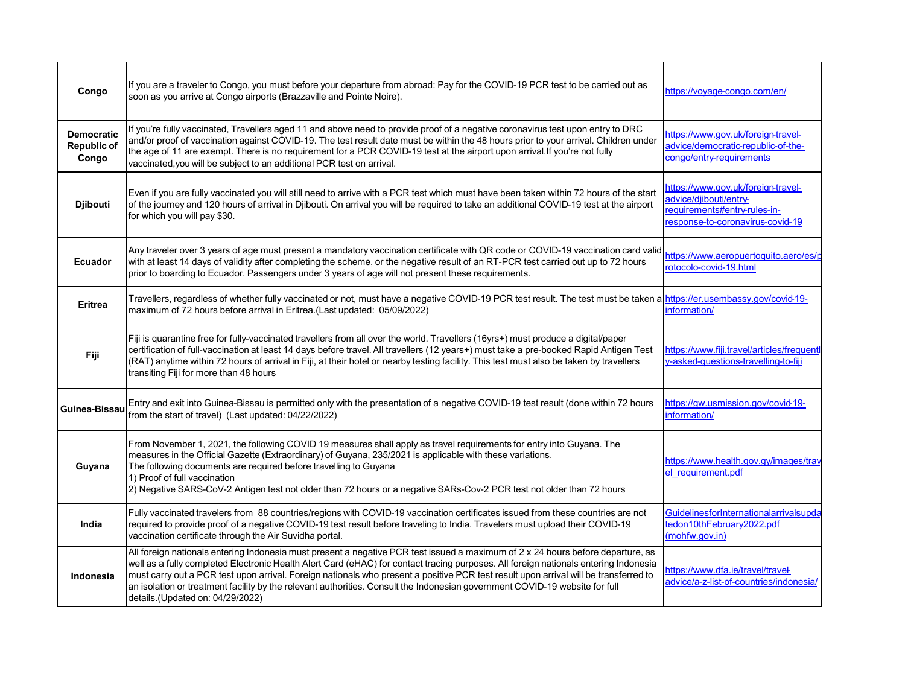| Congo                                     | If you are a traveler to Congo, you must before your departure from abroad: Pay for the COVID-19 PCR test to be carried out as<br>soon as you arrive at Congo airports (Brazzaville and Pointe Noire).                                                                                                                                                                                                                                                                                                                                                                             | https://voyage-congo.com/en/                                                                                                   |
|-------------------------------------------|------------------------------------------------------------------------------------------------------------------------------------------------------------------------------------------------------------------------------------------------------------------------------------------------------------------------------------------------------------------------------------------------------------------------------------------------------------------------------------------------------------------------------------------------------------------------------------|--------------------------------------------------------------------------------------------------------------------------------|
| <b>Democratic</b><br>Republic of<br>Congo | If you're fully vaccinated, Travellers aged 11 and above need to provide proof of a negative coronavirus test upon entry to DRC<br>and/or proof of vaccination against COVID-19. The test result date must be within the 48 hours prior to your arrival. Children under<br>the age of 11 are exempt. There is no requirement for a PCR COVID-19 test at the airport upon arrival. If you're not fully<br>vaccinated, you will be subject to an additional PCR test on arrival.                                                                                                     | https://www.gov.uk/foreign-travel-<br>advice/democratic-republic-of-the-<br>congo/entry-requirements                           |
| <b>Djibouti</b>                           | Even if you are fully vaccinated you will still need to arrive with a PCR test which must have been taken within 72 hours of the start<br>of the journey and 120 hours of arrival in Djibouti. On arrival you will be required to take an additional COVID-19 test at the airport<br>for which you will pay \$30.                                                                                                                                                                                                                                                                  | https://www.gov.uk/foreign-travel-<br>advice/djibouti/entry-<br>equirements#entry-rules-in-<br>esponse-to-coronavirus-covid-19 |
| <b>Ecuador</b>                            | Any traveler over 3 years of age must present a mandatory vaccination certificate with QR code or COVID-19 vaccination card valid<br>with at least 14 days of validity after completing the scheme, or the negative result of an RT-PCR test carried out up to 72 hours<br>prior to boarding to Ecuador. Passengers under 3 years of age will not present these requirements.                                                                                                                                                                                                      | https://www.aeropuertoquito.aero/es/p<br>otocolo-covid-19.html                                                                 |
| <b>Eritrea</b>                            | Travellers, regardless of whether fully vaccinated or not, must have a negative COVID-19 PCR test result. The test must be taken a<br>maximum of 72 hours before arrival in Eritrea.(Last updated: 05/09/2022)                                                                                                                                                                                                                                                                                                                                                                     | https://er.usembassy.gov/covid-19-<br>nformation/                                                                              |
| Fiji                                      | Fiji is quarantine free for fully-vaccinated travellers from all over the world. Travellers (16yrs+) must produce a digital/paper<br>certification of full-vaccination at least 14 days before travel. All travellers (12 years+) must take a pre-booked Rapid Antigen Test<br>(RAT) anytime within 72 hours of arrival in Fiji, at their hotel or nearby testing facility. This test must also be taken by travellers<br>transiting Fiji for more than 48 hours                                                                                                                   | https://www.fiji.travel/articles/frequentl<br>y-asked-questions-travelling-to-fiji                                             |
| Guinea-Bissau                             | Entry and exit into Guinea-Bissau is permitted only with the presentation of a negative COVID-19 test result (done within 72 hours<br>from the start of travel) (Last updated: 04/22/2022)                                                                                                                                                                                                                                                                                                                                                                                         | https://gw.usmission.gov/covid-19-<br>information/                                                                             |
| Guyana                                    | From November 1, 2021, the following COVID 19 measures shall apply as travel requirements for entry into Guyana. The<br>measures in the Official Gazette (Extraordinary) of Guyana, 235/2021 is applicable with these variations.<br>The following documents are required before travelling to Guyana<br>1) Proof of full vaccination<br>2) Negative SARS-CoV-2 Antigen test not older than 72 hours or a negative SARs-Cov-2 PCR test not older than 72 hours                                                                                                                     | https://www.health.gov.gy/images/trav<br>el requirement.pdf                                                                    |
| India                                     | Fully vaccinated travelers from 88 countries/regions with COVID-19 vaccination certificates issued from these countries are not<br>required to provide proof of a negative COVID-19 test result before traveling to India. Travelers must upload their COVID-19<br>vaccination certificate through the Air Suvidha portal.                                                                                                                                                                                                                                                         | GuidelinesforInternationalarrivalsupda<br>tedon10thFebruary2022.pdf<br>(mohfw.gov.in)                                          |
| Indonesia                                 | All foreign nationals entering Indonesia must present a negative PCR test issued a maximum of 2 x 24 hours before departure, as<br>well as a fully completed Electronic Health Alert Card (eHAC) for contact tracing purposes. All foreign nationals entering Indonesia<br>must carry out a PCR test upon arrival. Foreign nationals who present a positive PCR test result upon arrival will be transferred to<br>an isolation or treatment facility by the relevant authorities. Consult the Indonesian government COVID-19 website for full<br>details.(Updated on: 04/29/2022) | https://www.dfa.ie/travel/travel-<br>advice/a-z-list-of-countries/indonesia/                                                   |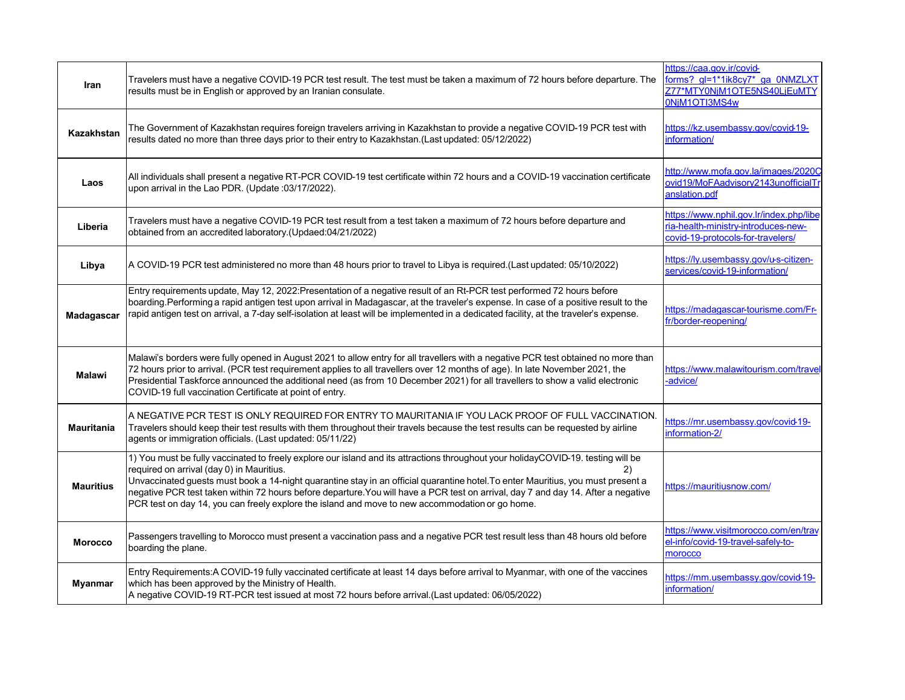| Iran              | Travelers must have a negative COVID-19 PCR test result. The test must be taken a maximum of 72 hours before departure. The<br>results must be in English or approved by an Iranian consulate.                                                                                                                                                                                                                                                                                                                                                                   | https://caa.gov.ir/covid-<br>Z77*MTY0NjM1OTE5NS40LjEuMTY<br>0NiM1OTI3MS4w                                           |
|-------------------|------------------------------------------------------------------------------------------------------------------------------------------------------------------------------------------------------------------------------------------------------------------------------------------------------------------------------------------------------------------------------------------------------------------------------------------------------------------------------------------------------------------------------------------------------------------|---------------------------------------------------------------------------------------------------------------------|
| <b>Kazakhstan</b> | The Government of Kazakhstan requires foreign travelers arriving in Kazakhstan to provide a negative COVID-19 PCR test with<br>results dated no more than three days prior to their entry to Kazakhstan.(Last updated: 05/12/2022)                                                                                                                                                                                                                                                                                                                               | https://kz.usembassy.gov/covid-19-<br>information/                                                                  |
| Laos              | All individuals shall present a negative RT-PCR COVID-19 test certificate within 72 hours and a COVID-19 vaccination certificate<br>upon arrival in the Lao PDR. (Update :03/17/2022).                                                                                                                                                                                                                                                                                                                                                                           | http://www.mofa.gov.la/images/2020C<br>ovid19/MoFAadvisory2143unofficialTr<br>anslation.pdf                         |
| Liberia           | Travelers must have a negative COVID-19 PCR test result from a test taken a maximum of 72 hours before departure and<br>obtained from an accredited laboratory.(Updaed:04/21/2022)                                                                                                                                                                                                                                                                                                                                                                               | https://www.nphil.gov.lr/index.php/libe<br>ria-health-ministry-introduces-new-<br>covid-19-protocols-for-travelers/ |
| Libya             | A COVID-19 PCR test administered no more than 48 hours prior to travel to Libya is required.(Last updated: 05/10/2022)                                                                                                                                                                                                                                                                                                                                                                                                                                           | https://ly.usembassy.gov/u-s-citizen-<br>services/covid-19-information/                                             |
| Madagascar        | Entry requirements update, May 12, 2022: Presentation of a negative result of an Rt-PCR test performed 72 hours before<br>boarding. Performing a rapid antigen test upon arrival in Madagascar, at the traveler's expense. In case of a positive result to the<br>rapid antigen test on arrival, a 7-day self-isolation at least will be implemented in a dedicated facility, at the traveler's expense.                                                                                                                                                         | https://madagascar-tourisme.com/Fr-<br>fr/border-reopening/                                                         |
| <b>Malawi</b>     | Malawi's borders were fully opened in August 2021 to allow entry for all travellers with a negative PCR test obtained no more than<br>72 hours prior to arrival. (PCR test requirement applies to all travellers over 12 months of age). In late November 2021, the<br>Presidential Taskforce announced the additional need (as from 10 December 2021) for all travellers to show a valid electronic<br>COVID-19 full vaccination Certificate at point of entry.                                                                                                 | https://www.malawitourism.com/travel<br>-advice/                                                                    |
| <b>Mauritania</b> | A NEGATIVE PCR TEST IS ONLY REQUIRED FOR ENTRY TO MAURITANIA IF YOU LACK PROOF OF FULL VACCINATION.<br>Travelers should keep their test results with them throughout their travels because the test results can be requested by airline<br>agents or immigration officials. (Last updated: 05/11/22)                                                                                                                                                                                                                                                             | https://mr.usembassy.gov/covid-19-<br>information-2/                                                                |
| <b>Mauritius</b>  | 1) You must be fully vaccinated to freely explore our island and its attractions throughout your holidayCOVID-19. testing will be<br>required on arrival (day 0) in Mauritius.<br>2)<br>Unvaccinated guests must book a 14-night quarantine stay in an official quarantine hotel. To enter Mauritius, you must present a<br>negative PCR test taken within 72 hours before departure. You will have a PCR test on arrival, day 7 and day 14. After a negative<br>PCR test on day 14, you can freely explore the island and move to new accommodation or go home. | https://mauritiusnow.com/                                                                                           |
| <b>Morocco</b>    | Passengers travelling to Morocco must present a vaccination pass and a negative PCR test result less than 48 hours old before<br>boarding the plane.                                                                                                                                                                                                                                                                                                                                                                                                             | https://www.visitmorocco.com/en/trav<br>el-info/covid-19-travel-safely-to-<br>morocco                               |
| <b>Myanmar</b>    | Entry Requirements: A COVID-19 fully vaccinated certificate at least 14 days before arrival to Myanmar, with one of the vaccines<br>which has been approved by the Ministry of Health.<br>A negative COVID-19 RT-PCR test issued at most 72 hours before arrival.(Last updated: 06/05/2022)                                                                                                                                                                                                                                                                      | https://mm.usembassy.gov/covid-19-<br>information/                                                                  |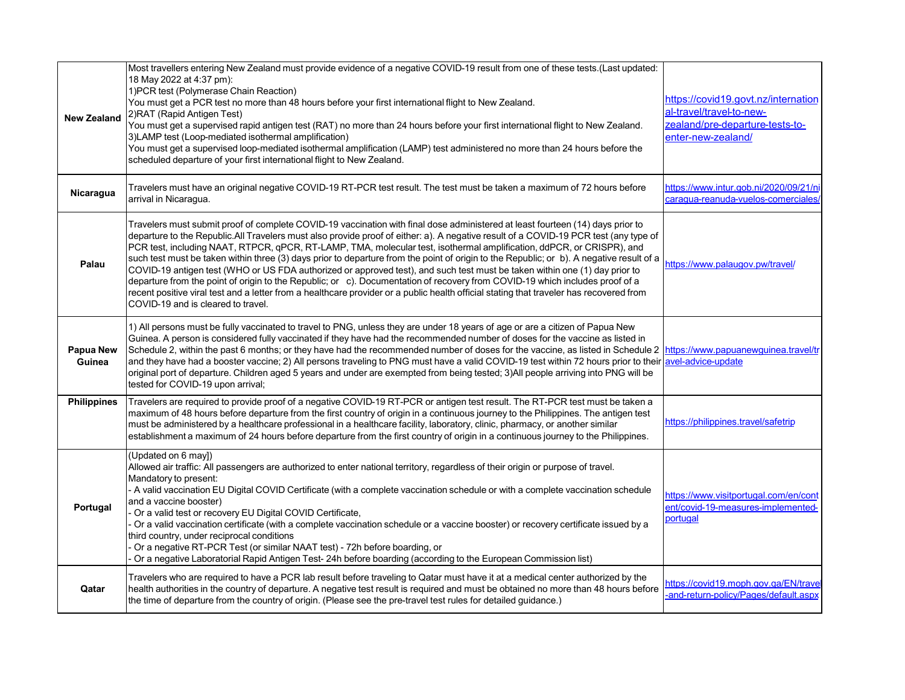| <b>New Zealand</b>         | Most travellers entering New Zealand must provide evidence of a negative COVID-19 result from one of these tests.(Last updated:<br>18 May 2022 at 4:37 pm):<br>1) PCR test (Polymerase Chain Reaction)<br>You must get a PCR test no more than 48 hours before your first international flight to New Zealand.<br>2) RAT (Rapid Antigen Test)<br>You must get a supervised rapid antigen test (RAT) no more than 24 hours before your first international flight to New Zealand.<br>3)LAMP test (Loop-mediated isothermal amplification)<br>You must get a supervised loop-mediated isothermal amplification (LAMP) test administered no more than 24 hours before the<br>scheduled departure of your first international flight to New Zealand.                                                                                                                                                                                                                                                                           | https://covid19.govt.nz/internation<br>al-travel/travel-to-new-<br>zealand/pre-departure-tests-to-<br>enter-new-zealand/ |
|----------------------------|----------------------------------------------------------------------------------------------------------------------------------------------------------------------------------------------------------------------------------------------------------------------------------------------------------------------------------------------------------------------------------------------------------------------------------------------------------------------------------------------------------------------------------------------------------------------------------------------------------------------------------------------------------------------------------------------------------------------------------------------------------------------------------------------------------------------------------------------------------------------------------------------------------------------------------------------------------------------------------------------------------------------------|--------------------------------------------------------------------------------------------------------------------------|
| Nicaragua                  | Travelers must have an original negative COVID-19 RT-PCR test result. The test must be taken a maximum of 72 hours before<br>arrival in Nicaragua.                                                                                                                                                                                                                                                                                                                                                                                                                                                                                                                                                                                                                                                                                                                                                                                                                                                                         | https://www.intur.gob.ni/2020/09/21/ni<br>caragua-reanuda-vuelos-comerciales                                             |
| Palau                      | Travelers must submit proof of complete COVID-19 vaccination with final dose administered at least fourteen (14) days prior to<br>departure to the Republic.All Travelers must also provide proof of either: a). A negative result of a COVID-19 PCR test (any type of<br>PCR test, including NAAT, RTPCR, qPCR, RT-LAMP, TMA, molecular test, isothermal amplification, ddPCR, or CRISPR), and<br>such test must be taken within three (3) days prior to departure from the point of origin to the Republic; or b). A negative result of a https://www.palaugov.pw/travel/<br>COVID-19 antigen test (WHO or US FDA authorized or approved test), and such test must be taken within one (1) day prior to<br>departure from the point of origin to the Republic; or c). Documentation of recovery from COVID-19 which includes proof of a<br>recent positive viral test and a letter from a healthcare provider or a public health official stating that traveler has recovered from<br>COVID-19 and is cleared to travel. |                                                                                                                          |
| <b>Papua New</b><br>Guinea | 1) All persons must be fully vaccinated to travel to PNG, unless they are under 18 years of age or are a citizen of Papua New<br>Guinea. A person is considered fully vaccinated if they have had the recommended number of doses for the vaccine as listed in<br>Schedule 2, within the past 6 months; or they have had the recommended number of doses for the vaccine, as listed in Schedule 2 https://www.papuanewguinea.travel/tr<br>and they have had a booster vaccine; 2) All persons traveling to PNG must have a valid COVID-19 test within 72 hours prior to their avel-advice-update<br>original port of departure. Children aged 5 years and under are exempted from being tested; 3)All people arriving into PNG will be<br>tested for COVID-19 upon arrival;                                                                                                                                                                                                                                                |                                                                                                                          |
| <b>Philippines</b>         | Travelers are required to provide proof of a negative COVID-19 RT-PCR or antigen test result. The RT-PCR test must be taken a<br>maximum of 48 hours before departure from the first country of origin in a continuous journey to the Philippines. The antigen test<br>must be administered by a healthcare professional in a healthcare facility, laboratory, clinic, pharmacy, or another similar<br>establishment a maximum of 24 hours before departure from the first country of origin in a continuous journey to the Philippines.                                                                                                                                                                                                                                                                                                                                                                                                                                                                                   | https://philippines.travel/safetrip                                                                                      |
| Portugal                   | (Updated on 6 may)<br>Allowed air traffic: All passengers are authorized to enter national territory, regardless of their origin or purpose of travel.<br>Mandatory to present:<br>- A valid vaccination EU Digital COVID Certificate (with a complete vaccination schedule or with a complete vaccination schedule<br>and a vaccine booster)<br>Or a valid test or recovery EU Digital COVID Certificate,<br>Or a valid vaccination certificate (with a complete vaccination schedule or a vaccine booster) or recovery certificate issued by a<br>third country, under reciprocal conditions<br>Or a negative RT-PCR Test (or similar NAAT test) - 72h before boarding, or<br>Or a negative Laboratorial Rapid Antigen Test- 24h before boarding (according to the European Commission list)                                                                                                                                                                                                                             | https://www.visitportugal.com/en/cont<br>ent/covid-19-measures-implemented-<br>portugal                                  |
| Qatar                      | Travelers who are required to have a PCR lab result before traveling to Qatar must have it at a medical center authorized by the<br>health authorities in the country of departure. A negative test result is required and must be obtained no more than 48 hours before<br>the time of departure from the country of origin. (Please see the pre-travel test rules for detailed guidance.)                                                                                                                                                                                                                                                                                                                                                                                                                                                                                                                                                                                                                                | https://covid19.moph.gov.ga/EN/trave<br>and-return-policy/Pages/default.aspx                                             |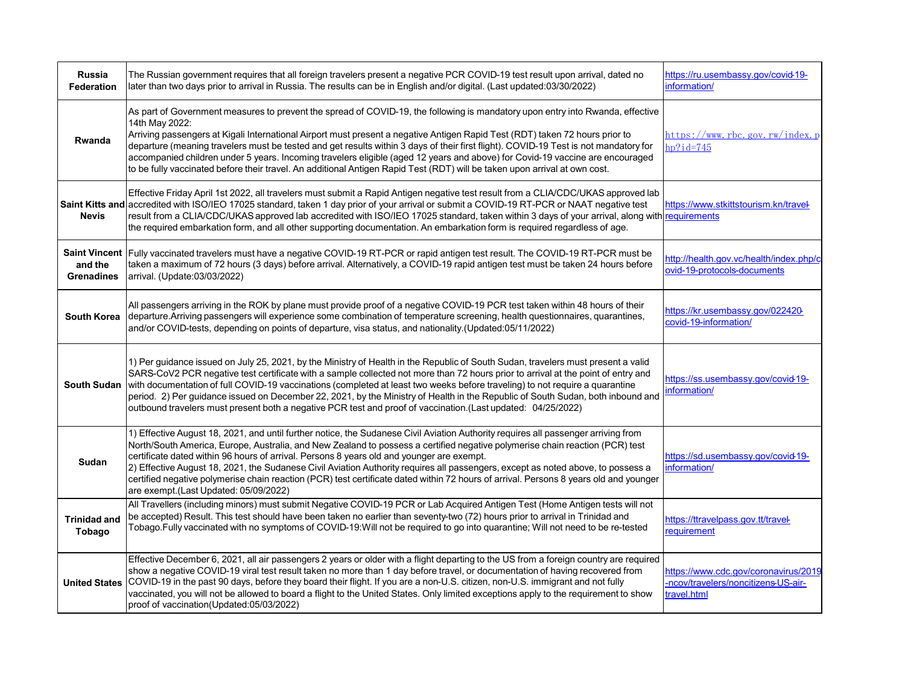| Russia<br><b>Federation</b>   | The Russian government requires that all foreign travelers present a negative PCR COVID-19 test result upon arrival, dated no<br>later than two days prior to arrival in Russia. The results can be in English and/or digital. (Last updated:03/30/2022)                                                                                                                                                                                                                                                                                                                                                                                                                                | https://ru.usembassy.gov/covid-19-<br>information/                                         |
|-------------------------------|-----------------------------------------------------------------------------------------------------------------------------------------------------------------------------------------------------------------------------------------------------------------------------------------------------------------------------------------------------------------------------------------------------------------------------------------------------------------------------------------------------------------------------------------------------------------------------------------------------------------------------------------------------------------------------------------|--------------------------------------------------------------------------------------------|
| Rwanda                        | As part of Government measures to prevent the spread of COVID-19, the following is mandatory upon entry into Rwanda, effective<br>14th May 2022:<br>Arriving passengers at Kigali International Airport must present a negative Antigen Rapid Test (RDT) taken 72 hours prior to<br>departure (meaning travelers must be tested and get results within 3 days of their first flight). COVID-19 Test is not mandatory for<br>accompanied children under 5 years. Incoming travelers eligible (aged 12 years and above) for Covid-19 vaccine are encouraged<br>to be fully vaccinated before their travel. An additional Antigen Rapid Test (RDT) will be taken upon arrival at own cost. | https://www. rbc. gov. rw/index. p<br>$hp$ ?id=745                                         |
| <b>Nevis</b>                  | Effective Friday April 1st 2022, all travelers must submit a Rapid Antigen negative test result from a CLIA/CDC/UKAS approved lab<br>Saint Kitts and accredited with ISO/IEO 17025 standard, taken 1 day prior of your arrival or submit a COVID-19 RT-PCR or NAAT negative test<br>result from a CLIA/CDC/UKAS approved lab accredited with ISO/IEO 17025 standard, taken within 3 days of your arrival, along with requirements<br>the required embarkation form, and all other supporting documentation. An embarkation form is required regardless of age.                                                                                                                          | https://www.stkittstourism.kn/travel-                                                      |
| and the<br><b>Grenadines</b>  | Saint Vincent Fully vaccinated travelers must have a negative COVID-19 RT-PCR or rapid antigen test result. The COVID-19 RT-PCR must be<br>taken a maximum of 72 hours (3 days) before arrival. Alternatively, a COVID-19 rapid antigen test must be taken 24 hours before<br>arrival. (Update:03/03/2022)                                                                                                                                                                                                                                                                                                                                                                              | http://health.gov.vc/health/index.php/c<br>ovid-19-protocols-documents                     |
|                               | All passengers arriving in the ROK by plane must provide proof of a negative COVID-19 PCR test taken within 48 hours of their<br>South Korea departure. Arriving passengers will experience some combination of temperature screening, health questionnaires, quarantines,<br>and/or COVID-tests, depending on points of departure, visa status, and nationality.(Updated:05/11/2022)                                                                                                                                                                                                                                                                                                   | https://kr.usembassy.gov/022420-<br>covid-19-information/                                  |
|                               | 1) Per guidance issued on July 25, 2021, by the Ministry of Health in the Republic of South Sudan, travelers must present a valid<br>SARS-CoV2 PCR negative test certificate with a sample collected not more than 72 hours prior to arrival at the point of entry and<br>South Sudan with documentation of full COVID-19 vaccinations (completed at least two weeks before traveling) to not require a quarantine<br>period. 2) Per guidance issued on December 22, 2021, by the Ministry of Health in the Republic of South Sudan, both inbound and<br>outbound travelers must present both a negative PCR test and proof of vaccination.(Last updated: 04/25/2022)                   | https://ss.usembassy.gov/covid-19-<br>information/                                         |
| Sudan                         | 1) Effective August 18, 2021, and until further notice, the Sudanese Civil Aviation Authority requires all passenger arriving from<br>North/South America, Europe, Australia, and New Zealand to possess a certified negative polymerise chain reaction (PCR) test<br>certificate dated within 96 hours of arrival. Persons 8 years old and younger are exempt.<br>2) Effective August 18, 2021, the Sudanese Civil Aviation Authority requires all passengers, except as noted above, to possess a<br>certified negative polymerise chain reaction (PCR) test certificate dated within 72 hours of arrival. Persons 8 years old and younger<br>are exempt.(Last Updated: 05/09/2022)   | https://sd.usembassy.gov/covid-19-<br>information/                                         |
| <b>Trinidad and</b><br>Tobago | All Travellers (including minors) must submit Negative COVID-19 PCR or Lab Acquired Antigen Test (Home Antigen tests will not<br>be accepted) Result. This test should have been taken no earlier than seventy-two (72) hours prior to arrival in Trinidad and<br>Tobago.Fully vaccinated with no symptoms of COVID-19:Will not be required to go into quarantine; Will not need to be re-tested                                                                                                                                                                                                                                                                                        | https://ttravelpass.gov.tt/travel-<br>requirement                                          |
|                               | Effective December 6, 2021, all air passengers 2 years or older with a flight departing to the US from a foreign country are required<br>show a negative COVID-19 viral test result taken no more than 1 day before travel, or documentation of having recovered from<br>United States COVID-19 in the past 90 days, before they board their flight. If you are a non-U.S. citizen, non-U.S. immigrant and not fully<br>vaccinated, you will not be allowed to board a flight to the United States. Only limited exceptions apply to the requirement to show<br>proof of vaccination(Updated:05/03/2022)                                                                                | https://www.cdc.gov/coronavirus/2019<br>-ncov/travelers/noncitizens-US-air-<br>travel.html |